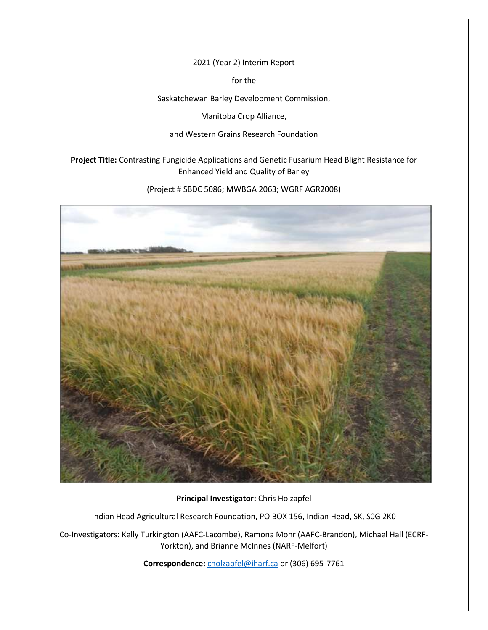2021 (Year 2) Interim Report

for the

Saskatchewan Barley Development Commission,

Manitoba Crop Alliance,

## and Western Grains Research Foundation

**Project Title:** Contrasting Fungicide Applications and Genetic Fusarium Head Blight Resistance for Enhanced Yield and Quality of Barley

(Project # SBDC 5086; MWBGA 2063; WGRF AGR2008)



**Principal Investigator:** Chris Holzapfel

Indian Head Agricultural Research Foundation, PO BOX 156, Indian Head, SK, S0G 2K0

Co-Investigators: Kelly Turkington (AAFC-Lacombe), Ramona Mohr (AAFC-Brandon), Michael Hall (ECRF-Yorkton), and Brianne McInnes (NARF-Melfort)

**Correspondence:** [cholzapfel@iharf.ca](mailto:cholzapfel@iharf.ca) or (306) 695-7761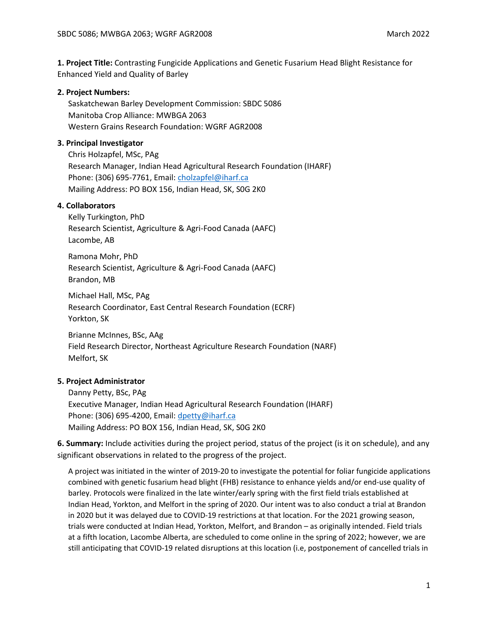**1. Project Title:** Contrasting Fungicide Applications and Genetic Fusarium Head Blight Resistance for Enhanced Yield and Quality of Barley

## **2. Project Numbers:**

Saskatchewan Barley Development Commission: SBDC 5086 Manitoba Crop Alliance: MWBGA 2063 Western Grains Research Foundation: WGRF AGR2008

#### **3. Principal Investigator**

Chris Holzapfel, MSc, PAg Research Manager, Indian Head Agricultural Research Foundation (IHARF) Phone: (306) 695-7761, Email: [cholzapfel@iharf.ca](mailto:cholzapfel@iharf.ca) Mailing Address: PO BOX 156, Indian Head, SK, S0G 2K0

## **4. Collaborators**

Kelly Turkington, PhD Research Scientist, Agriculture & Agri-Food Canada (AAFC) Lacombe, AB

Ramona Mohr, PhD Research Scientist, Agriculture & Agri-Food Canada (AAFC) Brandon, MB

Michael Hall, MSc, PAg Research Coordinator, East Central Research Foundation (ECRF) Yorkton, SK

Brianne McInnes, BSc, AAg Field Research Director, Northeast Agriculture Research Foundation (NARF) Melfort, SK

## **5. Project Administrator**

Danny Petty, BSc, PAg Executive Manager, Indian Head Agricultural Research Foundation (IHARF) Phone: (306) 695-4200, Email: [dpetty@iharf.ca](mailto:dpetty@iharf.ca) Mailing Address: PO BOX 156, Indian Head, SK, S0G 2K0

**6. Summary:** Include activities during the project period, status of the project (is it on schedule), and any significant observations in related to the progress of the project.

A project was initiated in the winter of 2019-20 to investigate the potential for foliar fungicide applications combined with genetic fusarium head blight (FHB) resistance to enhance yields and/or end-use quality of barley. Protocols were finalized in the late winter/early spring with the first field trials established at Indian Head, Yorkton, and Melfort in the spring of 2020. Our intent was to also conduct a trial at Brandon in 2020 but it was delayed due to COVID-19 restrictions at that location. For the 2021 growing season, trials were conducted at Indian Head, Yorkton, Melfort, and Brandon – as originally intended. Field trials at a fifth location, Lacombe Alberta, are scheduled to come online in the spring of 2022; however, we are still anticipating that COVID-19 related disruptions at this location (i.e, postponement of cancelled trials in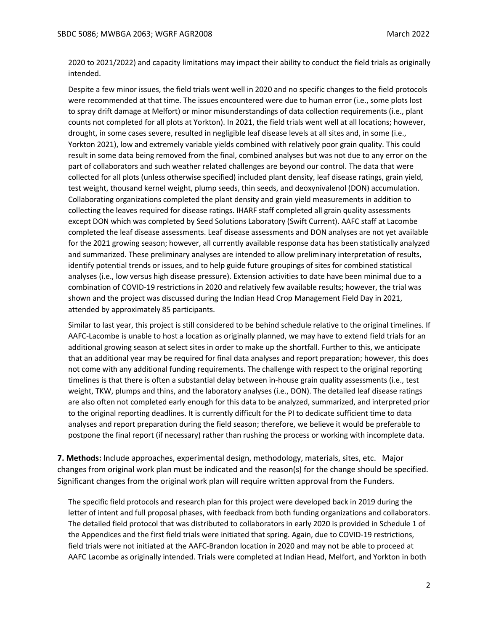2020 to 2021/2022) and capacity limitations may impact their ability to conduct the field trials as originally intended.

Despite a few minor issues, the field trials went well in 2020 and no specific changes to the field protocols were recommended at that time. The issues encountered were due to human error (i.e., some plots lost to spray drift damage at Melfort) or minor misunderstandings of data collection requirements (i.e., plant counts not completed for all plots at Yorkton). In 2021, the field trials went well at all locations; however, drought, in some cases severe, resulted in negligible leaf disease levels at all sites and, in some (i.e., Yorkton 2021), low and extremely variable yields combined with relatively poor grain quality. This could result in some data being removed from the final, combined analyses but was not due to any error on the part of collaborators and such weather related challenges are beyond our control. The data that were collected for all plots (unless otherwise specified) included plant density, leaf disease ratings, grain yield, test weight, thousand kernel weight, plump seeds, thin seeds, and deoxynivalenol (DON) accumulation. Collaborating organizations completed the plant density and grain yield measurements in addition to collecting the leaves required for disease ratings. IHARF staff completed all grain quality assessments except DON which was completed by Seed Solutions Laboratory (Swift Current). AAFC staff at Lacombe completed the leaf disease assessments. Leaf disease assessments and DON analyses are not yet available for the 2021 growing season; however, all currently available response data has been statistically analyzed and summarized. These preliminary analyses are intended to allow preliminary interpretation of results, identify potential trends or issues, and to help guide future groupings of sites for combined statistical analyses (i.e., low versus high disease pressure). Extension activities to date have been minimal due to a combination of COVID-19 restrictions in 2020 and relatively few available results; however, the trial was shown and the project was discussed during the Indian Head Crop Management Field Day in 2021, attended by approximately 85 participants.

Similar to last year, this project is still considered to be behind schedule relative to the original timelines. If AAFC-Lacombe is unable to host a location as originally planned, we may have to extend field trials for an additional growing season at select sites in order to make up the shortfall. Further to this, we anticipate that an additional year may be required for final data analyses and report preparation; however, this does not come with any additional funding requirements. The challenge with respect to the original reporting timelines is that there is often a substantial delay between in-house grain quality assessments (i.e., test weight, TKW, plumps and thins, and the laboratory analyses (i.e., DON). The detailed leaf disease ratings are also often not completed early enough for this data to be analyzed, summarized, and interpreted prior to the original reporting deadlines. It is currently difficult for the PI to dedicate sufficient time to data analyses and report preparation during the field season; therefore, we believe it would be preferable to postpone the final report (if necessary) rather than rushing the process or working with incomplete data.

**7. Methods:** Include approaches, experimental design, methodology, materials, sites, etc. Major changes from original work plan must be indicated and the reason(s) for the change should be specified. Significant changes from the original work plan will require written approval from the Funders.

The specific field protocols and research plan for this project were developed back in 2019 during the letter of intent and full proposal phases, with feedback from both funding organizations and collaborators. The detailed field protocol that was distributed to collaborators in early 2020 is provided in Schedule 1 of the Appendices and the first field trials were initiated that spring. Again, due to COVID-19 restrictions, field trials were not initiated at the AAFC-Brandon location in 2020 and may not be able to proceed at AAFC Lacombe as originally intended. Trials were completed at Indian Head, Melfort, and Yorkton in both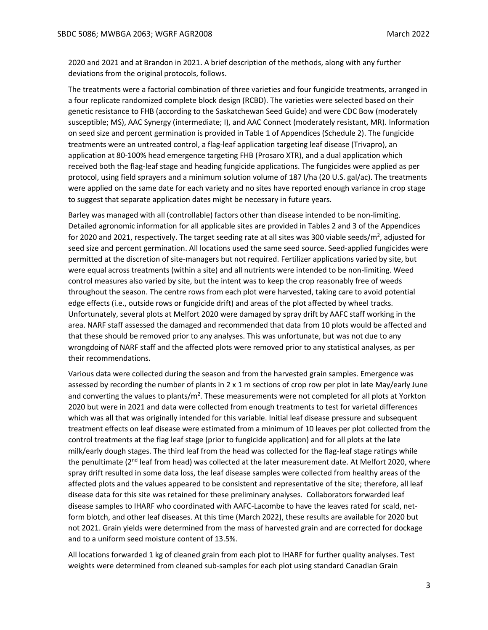2020 and 2021 and at Brandon in 2021. A brief description of the methods, along with any further deviations from the original protocols, follows.

The treatments were a factorial combination of three varieties and four fungicide treatments, arranged in a four replicate randomized complete block design (RCBD). The varieties were selected based on their genetic resistance to FHB (according to the Saskatchewan Seed Guide) and were CDC Bow (moderately susceptible; MS), AAC Synergy (intermediate; I), and AAC Connect (moderately resistant, MR). Information on seed size and percent germination is provided in Table 1 of Appendices (Schedule 2). The fungicide treatments were an untreated control, a flag-leaf application targeting leaf disease (Trivapro), an application at 80-100% head emergence targeting FHB (Prosaro XTR), and a dual application which received both the flag-leaf stage and heading fungicide applications. The fungicides were applied as per protocol, using field sprayers and a minimum solution volume of 187 l/ha (20 U.S. gal/ac). The treatments were applied on the same date for each variety and no sites have reported enough variance in crop stage to suggest that separate application dates might be necessary in future years.

Barley was managed with all (controllable) factors other than disease intended to be non-limiting. Detailed agronomic information for all applicable sites are provided in Tables 2 and 3 of the Appendices for 2020 and 2021, respectively. The target seeding rate at all sites was 300 viable seeds/m<sup>2</sup>, adjusted for seed size and percent germination. All locations used the same seed source. Seed-applied fungicides were permitted at the discretion of site-managers but not required. Fertilizer applications varied by site, but were equal across treatments (within a site) and all nutrients were intended to be non-limiting. Weed control measures also varied by site, but the intent was to keep the crop reasonably free of weeds throughout the season. The centre rows from each plot were harvested, taking care to avoid potential edge effects (i.e., outside rows or fungicide drift) and areas of the plot affected by wheel tracks. Unfortunately, several plots at Melfort 2020 were damaged by spray drift by AAFC staff working in the area. NARF staff assessed the damaged and recommended that data from 10 plots would be affected and that these should be removed prior to any analyses. This was unfortunate, but was not due to any wrongdoing of NARF staff and the affected plots were removed prior to any statistical analyses, as per their recommendations.

Various data were collected during the season and from the harvested grain samples. Emergence was assessed by recording the number of plants in 2 x 1 m sections of crop row per plot in late May/early June and converting the values to plants/m<sup>2</sup>. These measurements were not completed for all plots at Yorkton 2020 but were in 2021 and data were collected from enough treatments to test for varietal differences which was all that was originally intended for this variable. Initial leaf disease pressure and subsequent treatment effects on leaf disease were estimated from a minimum of 10 leaves per plot collected from the control treatments at the flag leaf stage (prior to fungicide application) and for all plots at the late milk/early dough stages. The third leaf from the head was collected for the flag-leaf stage ratings while the penultimate ( $2<sup>nd</sup>$  leaf from head) was collected at the later measurement date. At Melfort 2020, where spray drift resulted in some data loss, the leaf disease samples were collected from healthy areas of the affected plots and the values appeared to be consistent and representative of the site; therefore, all leaf disease data for this site was retained for these preliminary analyses. Collaborators forwarded leaf disease samples to IHARF who coordinated with AAFC-Lacombe to have the leaves rated for scald, netform blotch, and other leaf diseases. At this time (March 2022), these results are available for 2020 but not 2021. Grain yields were determined from the mass of harvested grain and are corrected for dockage and to a uniform seed moisture content of 13.5%.

All locations forwarded 1 kg of cleaned grain from each plot to IHARF for further quality analyses. Test weights were determined from cleaned sub-samples for each plot using standard Canadian Grain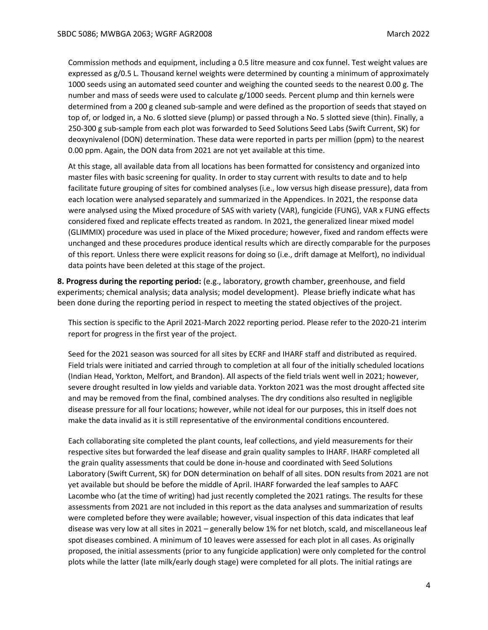Commission methods and equipment, including a 0.5 litre measure and cox funnel. Test weight values are expressed as g/0.5 L. Thousand kernel weights were determined by counting a minimum of approximately 1000 seeds using an automated seed counter and weighing the counted seeds to the nearest 0.00 g. The number and mass of seeds were used to calculate g/1000 seeds. Percent plump and thin kernels were determined from a 200 g cleaned sub-sample and were defined as the proportion of seeds that stayed on top of, or lodged in, a No. 6 slotted sieve (plump) or passed through a No. 5 slotted sieve (thin). Finally, a 250-300 g sub-sample from each plot was forwarded to Seed Solutions Seed Labs (Swift Current, SK) for deoxynivalenol (DON) determination. These data were reported in parts per million (ppm) to the nearest 0.00 ppm. Again, the DON data from 2021 are not yet available at this time.

At this stage, all available data from all locations has been formatted for consistency and organized into master files with basic screening for quality. In order to stay current with results to date and to help facilitate future grouping of sites for combined analyses (i.e., low versus high disease pressure), data from each location were analysed separately and summarized in the Appendices. In 2021, the response data were analysed using the Mixed procedure of SAS with variety (VAR), fungicide (FUNG), VAR x FUNG effects considered fixed and replicate effects treated as random. In 2021, the generalized linear mixed model (GLIMMIX) procedure was used in place of the Mixed procedure; however, fixed and random effects were unchanged and these procedures produce identical results which are directly comparable for the purposes of this report. Unless there were explicit reasons for doing so (i.e., drift damage at Melfort), no individual data points have been deleted at this stage of the project.

**8. Progress during the reporting period:** (e.g., laboratory, growth chamber, greenhouse, and field experiments; chemical analysis; data analysis; model development). Please briefly indicate what has been done during the reporting period in respect to meeting the stated objectives of the project.

This section is specific to the April 2021-March 2022 reporting period. Please refer to the 2020-21 interim report for progress in the first year of the project.

Seed for the 2021 season was sourced for all sites by ECRF and IHARF staff and distributed as required. Field trials were initiated and carried through to completion at all four of the initially scheduled locations (Indian Head, Yorkton, Melfort, and Brandon). All aspects of the field trials went well in 2021; however, severe drought resulted in low yields and variable data. Yorkton 2021 was the most drought affected site and may be removed from the final, combined analyses. The dry conditions also resulted in negligible disease pressure for all four locations; however, while not ideal for our purposes, this in itself does not make the data invalid as it is still representative of the environmental conditions encountered.

Each collaborating site completed the plant counts, leaf collections, and yield measurements for their respective sites but forwarded the leaf disease and grain quality samples to IHARF. IHARF completed all the grain quality assessments that could be done in-house and coordinated with Seed Solutions Laboratory (Swift Current, SK) for DON determination on behalf of all sites. DON results from 2021 are not yet available but should be before the middle of April. IHARF forwarded the leaf samples to AAFC Lacombe who (at the time of writing) had just recently completed the 2021 ratings. The results for these assessments from 2021 are not included in this report as the data analyses and summarization of results were completed before they were available; however, visual inspection of this data indicates that leaf disease was very low at all sites in 2021 – generally below 1% for net blotch, scald, and miscellaneous leaf spot diseases combined. A minimum of 10 leaves were assessed for each plot in all cases. As originally proposed, the initial assessments (prior to any fungicide application) were only completed for the control plots while the latter (late milk/early dough stage) were completed for all plots. The initial ratings are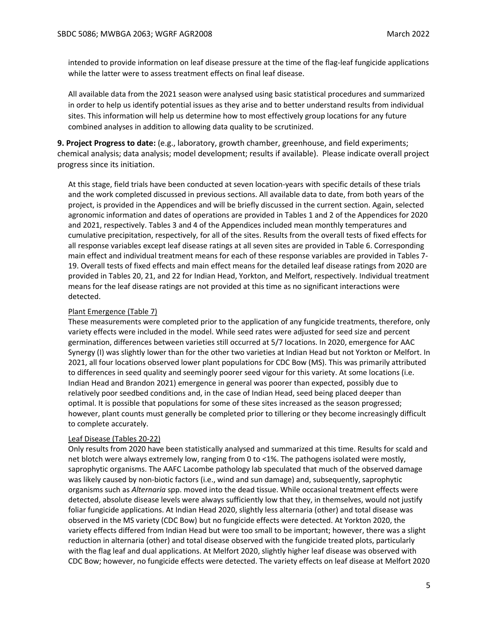intended to provide information on leaf disease pressure at the time of the flag-leaf fungicide applications while the latter were to assess treatment effects on final leaf disease.

All available data from the 2021 season were analysed using basic statistical procedures and summarized in order to help us identify potential issues as they arise and to better understand results from individual sites. This information will help us determine how to most effectively group locations for any future combined analyses in addition to allowing data quality to be scrutinized.

**9. Project Progress to date:** (e.g., laboratory, growth chamber, greenhouse, and field experiments; chemical analysis; data analysis; model development; results if available). Please indicate overall project progress since its initiation.

At this stage, field trials have been conducted at seven location-years with specific details of these trials and the work completed discussed in previous sections. All available data to date, from both years of the project, is provided in the Appendices and will be briefly discussed in the current section. Again, selected agronomic information and dates of operations are provided in Tables 1 and 2 of the Appendices for 2020 and 2021, respectively. Tables 3 and 4 of the Appendices included mean monthly temperatures and cumulative precipitation, respectively, for all of the sites. Results from the overall tests of fixed effects for all response variables except leaf disease ratings at all seven sites are provided in Table 6. Corresponding main effect and individual treatment means for each of these response variables are provided in Tables 7- 19. Overall tests of fixed effects and main effect means for the detailed leaf disease ratings from 2020 are provided in Tables 20, 21, and 22 for Indian Head, Yorkton, and Melfort, respectively. Individual treatment means for the leaf disease ratings are not provided at this time as no significant interactions were detected.

#### Plant Emergence (Table 7)

These measurements were completed prior to the application of any fungicide treatments, therefore, only variety effects were included in the model. While seed rates were adjusted for seed size and percent germination, differences between varieties still occurred at 5/7 locations. In 2020, emergence for AAC Synergy (I) was slightly lower than for the other two varieties at Indian Head but not Yorkton or Melfort. In 2021, all four locations observed lower plant populations for CDC Bow (MS). This was primarily attributed to differences in seed quality and seemingly poorer seed vigour for this variety. At some locations (i.e. Indian Head and Brandon 2021) emergence in general was poorer than expected, possibly due to relatively poor seedbed conditions and, in the case of Indian Head, seed being placed deeper than optimal. It is possible that populations for some of these sites increased as the season progressed; however, plant counts must generally be completed prior to tillering or they become increasingly difficult to complete accurately.

#### Leaf Disease (Tables 20-22)

Only results from 2020 have been statistically analysed and summarized at this time. Results for scald and net blotch were always extremely low, ranging from 0 to <1%. The pathogens isolated were mostly, saprophytic organisms. The AAFC Lacombe pathology lab speculated that much of the observed damage was likely caused by non-biotic factors (i.e., wind and sun damage) and, subsequently, saprophytic organisms such as *Alternaria* spp. moved into the dead tissue. While occasional treatment effects were detected, absolute disease levels were always sufficiently low that they, in themselves, would not justify foliar fungicide applications. At Indian Head 2020, slightly less alternaria (other) and total disease was observed in the MS variety (CDC Bow) but no fungicide effects were detected. At Yorkton 2020, the variety effects differed from Indian Head but were too small to be important; however, there was a slight reduction in alternaria (other) and total disease observed with the fungicide treated plots, particularly with the flag leaf and dual applications. At Melfort 2020, slightly higher leaf disease was observed with CDC Bow; however, no fungicide effects were detected. The variety effects on leaf disease at Melfort 2020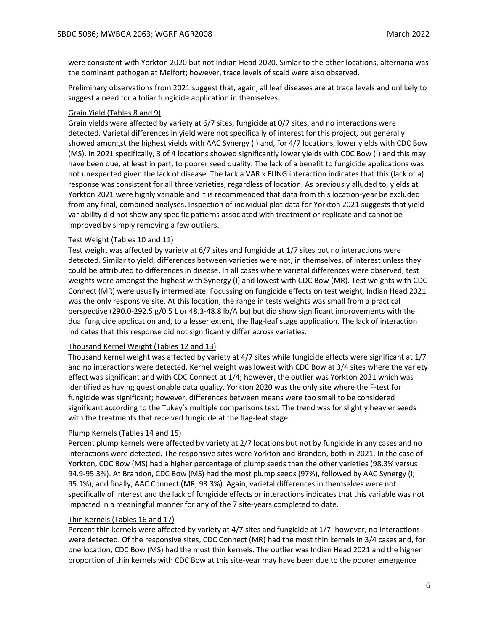were consistent with Yorkton 2020 but not Indian Head 2020. Simlar to the other locations, alternaria was the dominant pathogen at Melfort; however, trace levels of scald were also observed.

Preliminary observations from 2021 suggest that, again, all leaf diseases are at trace levels and unlikely to suggest a need for a foliar fungicide application in themselves.

## Grain Yield (Tables 8 and 9)

Grain yields were affected by variety at 6/7 sites, fungicide at 0/7 sites, and no interactions were detected. Varietal differences in yield were not specifically of interest for this project, but generally showed amongst the highest yields with AAC Synergy (I) and, for 4/7 locations, lower yields with CDC Bow (MS). In 2021 specifically, 3 of 4 locations showed significantly lower yields with CDC Bow (I) and this may have been due, at least in part, to poorer seed quality. The lack of a benefit to fungicide applications was not unexpected given the lack of disease. The lack a VAR x FUNG interaction indicates that this (lack of a) response was consistent for all three varieties, regardless of location. As previously alluded to, yields at Yorkton 2021 were highly variable and it is recommended that data from this location-year be excluded from any final, combined analyses. Inspection of individual plot data for Yorkton 2021 suggests that yield variability did not show any specific patterns associated with treatment or replicate and cannot be improved by simply removing a few outliers.

## Test Weight (Tables 10 and 11)

Test weight was affected by variety at 6/7 sites and fungicide at 1/7 sites but no interactions were detected. Similar to yield, differences between varieties were not, in themselves, of interest unless they could be attributed to differences in disease. In all cases where varietal differences were observed, test weights were amongst the highest with Synergy (I) and lowest with CDC Bow (MR). Test weights with CDC Connect (MR) were usually intermediate. Focussing on fungicide effects on test weight, Indian Head 2021 was the only responsive site. At this location, the range in tests weights was small from a practical perspective (290.0-292.5 g/0.5 L or 48.3-48.8 lb/A bu) but did show significant improvements with the dual fungicide application and, to a lesser extent, the flag-leaf stage application. The lack of interaction indicates that this response did not significantly differ across varieties.

## Thousand Kernel Weight (Tables 12 and 13)

Thousand kernel weight was affected by variety at 4/7 sites while fungicide effects were significant at 1/7 and no interactions were detected. Kernel weight was lowest with CDC Bow at 3/4 sites where the variety effect was significant and with CDC Connect at 1/4; however, the outlier was Yorkton 2021 which was identified as having questionable data quality. Yorkton 2020 was the only site where the F-test for fungicide was significant; however, differences between means were too small to be considered significant according to the Tukey's multiple comparisons test. The trend was for slightly heavier seeds with the treatments that received fungicide at the flag-leaf stage.

## Plump Kernels (Tables 14 and 15)

Percent plump kernels were affected by variety at 2/7 locations but not by fungicide in any cases and no interactions were detected. The responsive sites were Yorkton and Brandon, both in 2021. In the case of Yorkton, CDC Bow (MS) had a higher percentage of plump seeds than the other varieties (98.3% versus 94.9-95.3%). At Brandon, CDC Bow (MS) had the most plump seeds (97%), followed by AAC Synergy (I; 95.1%), and finally, AAC Connect (MR; 93.3%). Again, varietal differences in themselves were not specifically of interest and the lack of fungicide effects or interactions indicates that this variable was not impacted in a meaningful manner for any of the 7 site-years completed to date.

#### Thin Kernels (Tables 16 and 17)

Percent thin kernels were affected by variety at 4/7 sites and fungicide at 1/7; however, no interactions were detected. Of the responsive sites, CDC Connect (MR) had the most thin kernels in 3/4 cases and, for one location, CDC Bow (MS) had the most thin kernels. The outlier was Indian Head 2021 and the higher proportion of thin kernels with CDC Bow at this site-year may have been due to the poorer emergence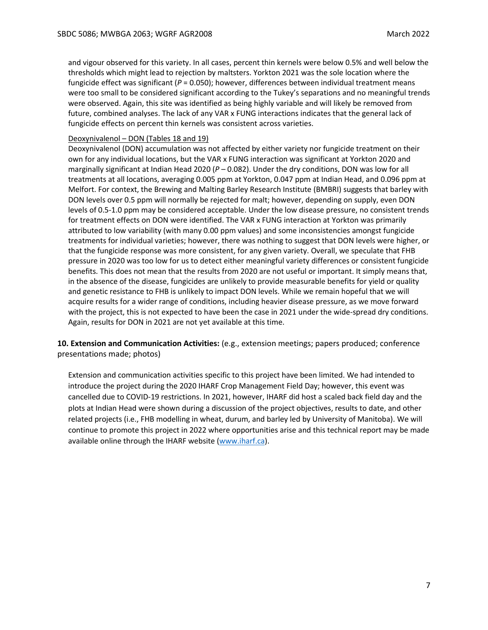and vigour observed for this variety. In all cases, percent thin kernels were below 0.5% and well below the thresholds which might lead to rejection by maltsters. Yorkton 2021 was the sole location where the fungicide effect was significant ( $P = 0.050$ ); however, differences between individual treatment means were too small to be considered significant according to the Tukey's separations and no meaningful trends were observed. Again, this site was identified as being highly variable and will likely be removed from future, combined analyses. The lack of any VAR x FUNG interactions indicates that the general lack of fungicide effects on percent thin kernels was consistent across varieties.

## Deoxynivalenol – DON (Tables 18 and 19)

Deoxynivalenol (DON) accumulation was not affected by either variety nor fungicide treatment on their own for any individual locations, but the VAR x FUNG interaction was significant at Yorkton 2020 and marginally significant at Indian Head 2020 (*P* – 0.082). Under the dry conditions, DON was low for all treatments at all locations, averaging 0.005 ppm at Yorkton, 0.047 ppm at Indian Head, and 0.096 ppm at Melfort. For context, the Brewing and Malting Barley Research Institute (BMBRI) suggests that barley with DON levels over 0.5 ppm will normally be rejected for malt; however, depending on supply, even DON levels of 0.5-1.0 ppm may be considered acceptable. Under the low disease pressure, no consistent trends for treatment effects on DON were identified. The VAR x FUNG interaction at Yorkton was primarily attributed to low variability (with many 0.00 ppm values) and some inconsistencies amongst fungicide treatments for individual varieties; however, there was nothing to suggest that DON levels were higher, or that the fungicide response was more consistent, for any given variety. Overall, we speculate that FHB pressure in 2020 was too low for us to detect either meaningful variety differences or consistent fungicide benefits. This does not mean that the results from 2020 are not useful or important. It simply means that, in the absence of the disease, fungicides are unlikely to provide measurable benefits for yield or quality and genetic resistance to FHB is unlikely to impact DON levels. While we remain hopeful that we will acquire results for a wider range of conditions, including heavier disease pressure, as we move forward with the project, this is not expected to have been the case in 2021 under the wide-spread dry conditions. Again, results for DON in 2021 are not yet available at this time.

**10. Extension and Communication Activities:** (e.g., extension meetings; papers produced; conference presentations made; photos)

Extension and communication activities specific to this project have been limited. We had intended to introduce the project during the 2020 IHARF Crop Management Field Day; however, this event was cancelled due to COVID-19 restrictions. In 2021, however, IHARF did host a scaled back field day and the plots at Indian Head were shown during a discussion of the project objectives, results to date, and other related projects (i.e., FHB modelling in wheat, durum, and barley led by University of Manitoba). We will continue to promote this project in 2022 where opportunities arise and this technical report may be made available online through the IHARF website [\(www.iharf.ca\)](http://www.iharf.ca/).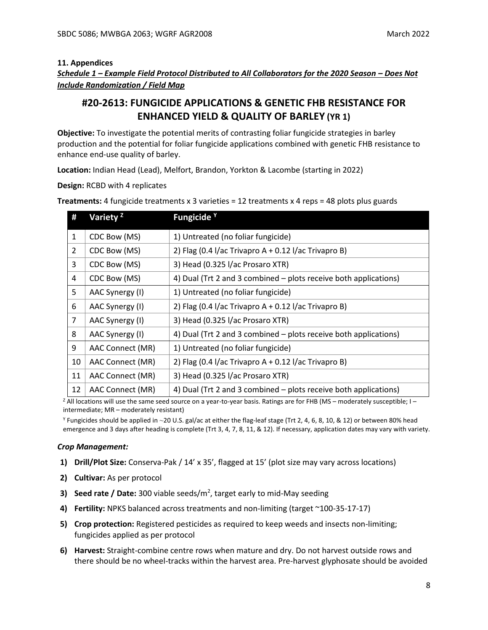## **11. Appendices**

*Schedule 1 – Example Field Protocol Distributed to All Collaborators for the 2020 Season – Does Not Include Randomization / Field Map*

# **#20-2613: FUNGICIDE APPLICATIONS & GENETIC FHB RESISTANCE FOR ENHANCED YIELD & QUALITY OF BARLEY (YR 1)**

**Objective:** To investigate the potential merits of contrasting foliar fungicide strategies in barley production and the potential for foliar fungicide applications combined with genetic FHB resistance to enhance end-use quality of barley.

**Location:** Indian Head (Lead), Melfort, Brandon, Yorkton & Lacombe (starting in 2022)

**Design:** RCBD with 4 replicates

| #            | Variety <sup>2</sup> | Fungicide <sup>Y</sup>                                           |
|--------------|----------------------|------------------------------------------------------------------|
| $\mathbf{1}$ | CDC Bow (MS)         | 1) Untreated (no foliar fungicide)                               |
| 2            | CDC Bow (MS)         | 2) Flag (0.4 l/ac Trivapro A + 0.12 l/ac Trivapro B)             |
| 3            | CDC Bow (MS)         | 3) Head (0.325 l/ac Prosaro XTR)                                 |
| 4            | CDC Bow (MS)         | 4) Dual (Trt 2 and 3 combined – plots receive both applications) |
| 5            | AAC Synergy (I)      | 1) Untreated (no foliar fungicide)                               |
| 6            | AAC Synergy (I)      | 2) Flag (0.4 l/ac Trivapro $A + 0.12$ l/ac Trivapro B)           |
| 7            | AAC Synergy (I)      | 3) Head (0.325 l/ac Prosaro XTR)                                 |
| 8            | AAC Synergy (I)      | 4) Dual (Trt 2 and 3 combined – plots receive both applications) |
| 9            | AAC Connect (MR)     | 1) Untreated (no foliar fungicide)                               |
| 10           | AAC Connect (MR)     | 2) Flag (0.4 l/ac Trivapro $A + 0.12$ l/ac Trivapro B)           |
| 11           | AAC Connect (MR)     | 3) Head (0.325 l/ac Prosaro XTR)                                 |
| 12           | AAC Connect (MR)     | 4) Dual (Trt 2 and 3 combined – plots receive both applications) |

**Treatments:** 4 fungicide treatments x 3 varieties = 12 treatments x 4 reps = 48 plots plus guards

<sup>z</sup> All locations will use the same seed source on a year-to-year basis. Ratings are for FHB (MS – moderately susceptible; I – intermediate; MR – moderately resistant)

<sup>Y</sup> Fungicides should be applied in ∼20 U.S. gal/ac at either the flag-leaf stage (Trt 2, 4, 6, 8, 10, & 12) or between 80% head emergence and 3 days after heading is complete (Trt 3, 4, 7, 8, 11, & 12). If necessary, application dates may vary with variety.

## *Crop Management:*

- **1) Drill/Plot Size:** Conserva-Pak / 14' x 35', flagged at 15' (plot size may vary across locations)
- **2) Cultivar:** As per protocol
- **3) Seed rate / Date:** 300 viable seeds/m<sup>2</sup>, target early to mid-May seeding
- **4) Fertility:** NPKS balanced across treatments and non-limiting (target ~100-35-17-17)
- **5) Crop protection:** Registered pesticides as required to keep weeds and insects non-limiting; fungicides applied as per protocol
- **6) Harvest:** Straight-combine centre rows when mature and dry. Do not harvest outside rows and there should be no wheel-tracks within the harvest area. Pre-harvest glyphosate should be avoided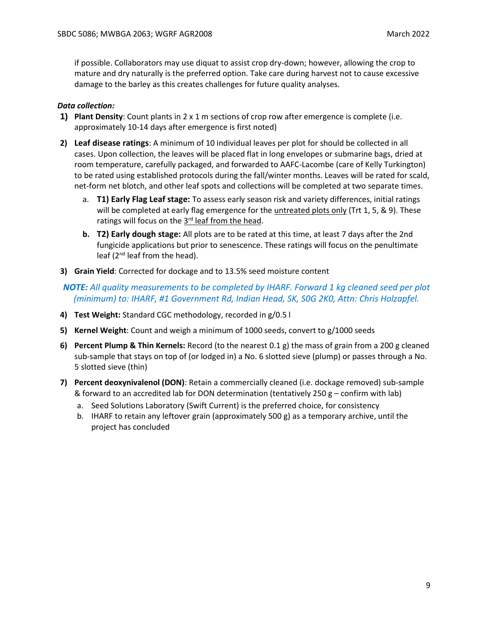if possible. Collaborators may use diquat to assist crop dry-down; however, allowing the crop to mature and dry naturally is the preferred option. Take care during harvest not to cause excessive damage to the barley as this creates challenges for future quality analyses.

## *Data collection:*

- **1) Plant Density**: Count plants in 2 x 1 m sections of crop row after emergence is complete (i.e. approximately 10-14 days after emergence is first noted)
- **2) Leaf disease ratings**: A minimum of 10 individual leaves per plot for should be collected in all cases. Upon collection, the leaves will be placed flat in long envelopes or submarine bags, dried at room temperature, carefully packaged, and forwarded to AAFC-Lacombe (care of Kelly Turkington) to be rated using established protocols during the fall/winter months. Leaves will be rated for scald, net-form net blotch, and other leaf spots and collections will be completed at two separate times.
	- a. **T1) Early Flag Leaf stage:** To assess early season risk and variety differences, initial ratings will be completed at early flag emergence for the untreated plots only (Trt 1, 5, & 9). These ratings will focus on the 3<sup>rd</sup> leaf from the head.
	- **b. T2) Early dough stage:** All plots are to be rated at this time, at least 7 days after the 2nd fungicide applications but prior to senescence. These ratings will focus on the penultimate leaf ( $2<sup>nd</sup>$  leaf from the head).
- **3) Grain Yield**: Corrected for dockage and to 13.5% seed moisture content

*NOTE: All quality measurements to be completed by IHARF. Forward 1 kg cleaned seed per plot (minimum) to: IHARF, #1 Government Rd, Indian Head, SK, S0G 2K0, Attn: Chris Holzapfel.*

- **4) Test Weight:** Standard CGC methodology, recorded in g/0.5 l
- **5) Kernel Weight**: Count and weigh a minimum of 1000 seeds, convert to g/1000 seeds
- **6) Percent Plump & Thin Kernels:** Record (to the nearest 0.1 g) the mass of grain from a 200 g cleaned sub-sample that stays on top of (or lodged in) a No. 6 slotted sieve (plump) or passes through a No. 5 slotted sieve (thin)
- **7) Percent deoxynivalenol (DON)**: Retain a commercially cleaned (i.e. dockage removed) sub-sample & forward to an accredited lab for DON determination (tentatively 250 g – confirm with lab)
	- a. Seed Solutions Laboratory (Swift Current) is the preferred choice, for consistency
	- b. IHARF to retain any leftover grain (approximately 500 g) as a temporary archive, until the project has concluded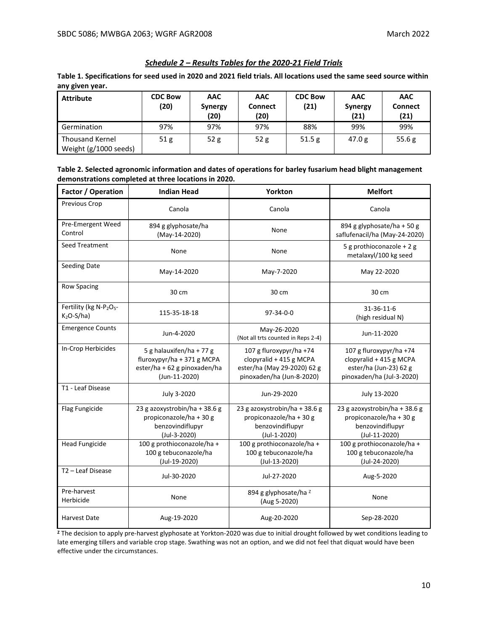# *Schedule 2 – Results Tables for the 2020-21 Field Trials*

**Table 1. Specifications for seed used in 2020 and 2021 field trials. All locations used the same seed source within any given year.**

| <b>Attribute</b>                                | <b>CDC Bow</b><br>(20) | <b>AAC</b><br><b>Synergy</b><br>(20) | <b>AAC</b><br><b>Connect</b><br>(20) | <b>CDC Bow</b><br>(21) | <b>AAC</b><br><b>Synergy</b><br>(21) | <b>AAC</b><br><b>Connect</b><br>(21) |
|-------------------------------------------------|------------------------|--------------------------------------|--------------------------------------|------------------------|--------------------------------------|--------------------------------------|
| Germination                                     | 97%                    | 97%                                  | 97%                                  | 88%                    | 99%                                  | 99%                                  |
| <b>Thousand Kernel</b><br>Weight (g/1000 seeds) | 51 g                   | 52 g                                 | 52 g                                 | 51.5g                  | 47.0 g                               | 55.6 $g$                             |

| Table 2. Selected agronomic information and dates of operations for barley fusarium head blight management |
|------------------------------------------------------------------------------------------------------------|
| demonstrations completed at three locations in 2020.                                                       |

| Factor / Operation                                             | <b>Indian Head</b>                                                                                      | Yorkton                                                                                                        | <b>Melfort</b>                                                                                            |
|----------------------------------------------------------------|---------------------------------------------------------------------------------------------------------|----------------------------------------------------------------------------------------------------------------|-----------------------------------------------------------------------------------------------------------|
| Previous Crop                                                  | Canola                                                                                                  | Canola                                                                                                         | Canola                                                                                                    |
| Pre-Emergent Weed<br>Control                                   | 894 g glyphosate/ha<br>(May-14-2020)                                                                    | None                                                                                                           | 894 g glyphosate/ha + 50 g<br>saflufenacil/ha (May-24-2020)                                               |
| <b>Seed Treatment</b>                                          | None                                                                                                    | None                                                                                                           | 5 g prothioconazole + 2 g<br>metalaxyl/100 kg seed                                                        |
| Seeding Date                                                   | May-14-2020                                                                                             | May-7-2020                                                                                                     | May 22-2020                                                                                               |
| <b>Row Spacing</b>                                             | 30 cm                                                                                                   | 30 cm                                                                                                          | 30 cm                                                                                                     |
| Fertility (kg N-P <sub>2</sub> O <sub>5</sub> -<br>$K2O-S/ha)$ | 115-35-18-18                                                                                            | 97-34-0-0                                                                                                      | 31-36-11-6<br>(high residual N)                                                                           |
| <b>Emergence Counts</b>                                        | Jun-4-2020                                                                                              | May-26-2020<br>(Not all trts counted in Reps 2-4)                                                              | Jun-11-2020                                                                                               |
| In-Crop Herbicides                                             | 5 g halauxifen/ha + 77 g<br>fluroxypyr/ha + 371 g MCPA<br>ester/ha + 62 g pinoxaden/ha<br>(Jun-11-2020) | 107 g fluroxypyr/ha +74<br>clopyralid + 415 g MCPA<br>ester/ha (May 29-2020) 62 g<br>pinoxaden/ha (Jun-8-2020) | 107 g fluroxypyr/ha +74<br>clopyralid + 415 g MCPA<br>ester/ha (Jun-23) 62 g<br>pinoxaden/ha (Jul-3-2020) |
| T1 - Leaf Disease                                              | July 3-2020                                                                                             | Jun-29-2020                                                                                                    | July 13-2020                                                                                              |
| Flag Fungicide                                                 | 23 g azoxystrobin/ha + 38.6 g<br>propiconazole/ha + 30 g<br>benzovindiflupyr<br>(Jul-3-2020)            | 23 g azoxystrobin/ha + 38.6 g<br>propiconazole/ha + 30 g<br>benzovindiflupyr<br>(Jul-1-2020)                   | 23 g azoxystrobin/ha + 38.6 g<br>propiconazole/ha + 30 g<br>benzovindiflupyr<br>(Jul-11-2020)             |
| <b>Head Fungicide</b>                                          | 100 g prothioconazole/ha +<br>100 g tebuconazole/ha<br>(Jul-19-2020)                                    | 100 g prothioconazole/ha +<br>100 g tebuconazole/ha<br>(Jul-13-2020)                                           | 100 g prothioconazole/ha +<br>100 g tebuconazole/ha<br>(Jul-24-2020)                                      |
| T <sub>2</sub> - Leaf Disease                                  | Jul-30-2020                                                                                             | Jul-27-2020                                                                                                    | Aug-5-2020                                                                                                |
| Pre-harvest<br>Herbicide                                       | None                                                                                                    | 894 g glyphosate/ha <sup>z</sup><br>(Aug 5-2020)                                                               | None                                                                                                      |
| <b>Harvest Date</b>                                            | Aug-19-2020                                                                                             | Aug-20-2020                                                                                                    | Sep-28-2020                                                                                               |

**Z** The decision to apply pre-harvest glyphosate at Yorkton-2020 was due to initial drought followed by wet conditions leading to late emerging tillers and variable crop stage. Swathing was not an option, and we did not feel that diquat would have been effective under the circumstances.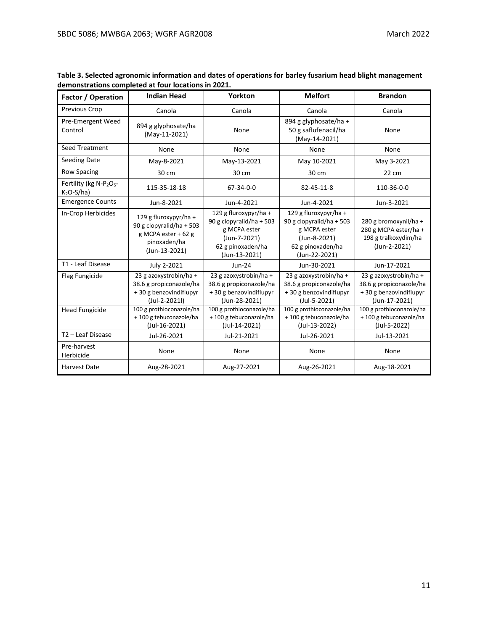| Factor / Operation                                            | <b>Indian Head</b>                                                                                        | Yorkton                                                                                                                 | <b>Melfort</b>                                                                                                          | <b>Brandon</b>                                                                               |
|---------------------------------------------------------------|-----------------------------------------------------------------------------------------------------------|-------------------------------------------------------------------------------------------------------------------------|-------------------------------------------------------------------------------------------------------------------------|----------------------------------------------------------------------------------------------|
| Previous Crop                                                 | Canola                                                                                                    | Canola                                                                                                                  | Canola                                                                                                                  | Canola                                                                                       |
| Pre-Emergent Weed<br>Control                                  | 894 g glyphosate/ha<br>(May-11-2021)                                                                      | None                                                                                                                    | 894 g glyphosate/ha +<br>50 g saflufenacil/ha<br>(May-14-2021)                                                          | None                                                                                         |
| <b>Seed Treatment</b>                                         | None                                                                                                      | None                                                                                                                    | None                                                                                                                    | None                                                                                         |
| <b>Seeding Date</b>                                           | May-8-2021                                                                                                | May-13-2021                                                                                                             | May 10-2021                                                                                                             | May 3-2021                                                                                   |
| <b>Row Spacing</b>                                            | 30 cm                                                                                                     | 30 cm                                                                                                                   | 30 cm                                                                                                                   | 22 cm                                                                                        |
| Fertility (kg N-P <sub>2</sub> O <sub>5</sub> -<br>$K2O-S/ha$ | 115-35-18-18                                                                                              | $67 - 34 - 0 - 0$                                                                                                       | 82-45-11-8                                                                                                              | 110-36-0-0                                                                                   |
| <b>Emergence Counts</b>                                       | Jun-8-2021                                                                                                | Jun-4-2021                                                                                                              | Jun-4-2021                                                                                                              | Jun-3-2021                                                                                   |
| In-Crop Herbicides                                            | 129 g fluroxypyr/ha +<br>90 g clopyralid/ha + 503<br>g MCPA ester + 62 g<br>pinoxaden/ha<br>(Jun-13-2021) | 129 g fluroxypyr/ha +<br>90 g clopyralid/ha + 503<br>g MCPA ester<br>(Jun-7-2021)<br>62 g pinoxaden/ha<br>(Jun-13-2021) | 129 g fluroxypyr/ha +<br>90 g clopyralid/ha + 503<br>g MCPA ester<br>(Jun-8-2021)<br>62 g pinoxaden/ha<br>(Jun-22-2021) | 280 g bromoxynil/ha +<br>280 g MCPA ester/ha +<br>198 g tralkoxydim/ha<br>(Jun-2-2021)       |
| T1 - Leaf Disease                                             | July 2-2021                                                                                               | Jun-24                                                                                                                  | Jun-30-2021                                                                                                             | Jun-17-2021                                                                                  |
| Flag Fungicide                                                | 23 g azoxystrobin/ha +<br>38.6 g propiconazole/ha<br>+30 g benzovindiflupyr<br>(Jul-2-2021l)              | 23 g azoxystrobin/ha +<br>38.6 g propiconazole/ha<br>+30 g benzovindiflupyr<br>(Jun-28-2021)                            | 23 g azoxystrobin/ha +<br>38.6 g propiconazole/ha<br>+30 g benzovindiflupyr<br>(Jul-5-2021)                             | 23 g azoxystrobin/ha +<br>38.6 g propiconazole/ha<br>+30 g benzovindiflupyr<br>(Jun-17-2021) |
| <b>Head Fungicide</b>                                         | 100 g prothioconazole/ha<br>+100 g tebuconazole/ha<br>(Jul-16-2021)                                       | 100 g prothioconazole/ha<br>+100 g tebuconazole/ha<br>(Jul-14-2021)                                                     | 100 g prothioconazole/ha<br>+100 g tebuconazole/ha<br>(Jul-13-2022)                                                     | 100 g prothioconazole/ha<br>+100 g tebuconazole/ha<br>(Jul-5-2022)                           |
| T <sub>2</sub> – Leaf Disease                                 | Jul-26-2021                                                                                               | Jul-21-2021                                                                                                             | Jul-26-2021                                                                                                             | Jul-13-2021                                                                                  |
| Pre-harvest<br>Herbicide                                      | None                                                                                                      | None                                                                                                                    | None                                                                                                                    | None                                                                                         |
| <b>Harvest Date</b>                                           | Aug-28-2021                                                                                               | Aug-27-2021                                                                                                             | Aug-26-2021                                                                                                             | Aug-18-2021                                                                                  |

**Table 3. Selected agronomic information and dates of operations for barley fusarium head blight management demonstrations completed at four locations in 2021.**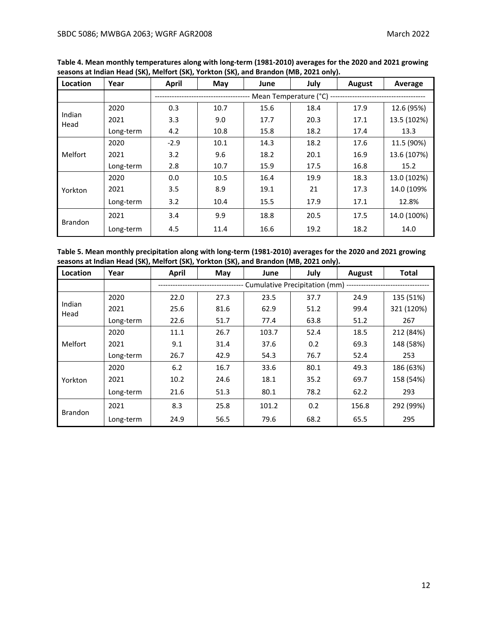| Location       | Year      | <b>April</b> | May  | June                  | July | August | Average     |
|----------------|-----------|--------------|------|-----------------------|------|--------|-------------|
|                |           |              |      | Mean Temperature (°C) |      |        |             |
|                | 2020      | 0.3          | 10.7 | 15.6                  | 18.4 | 17.9   | 12.6 (95%)  |
| Indian<br>Head | 2021      | 3.3          | 9.0  | 17.7                  | 20.3 | 17.1   | 13.5 (102%) |
|                | Long-term | 4.2          | 10.8 | 15.8                  | 18.2 | 17.4   | 13.3        |
|                | 2020      | $-2.9$       | 10.1 | 14.3                  | 18.2 | 17.6   | 11.5 (90%)  |
| Melfort        | 2021      | 3.2          | 9.6  | 18.2                  | 20.1 | 16.9   | 13.6 (107%) |
|                | Long-term | 2.8          | 10.7 | 15.9                  | 17.5 | 16.8   | 15.2        |
|                | 2020      | 0.0          | 10.5 | 16.4                  | 19.9 | 18.3   | 13.0 (102%) |
| Yorkton        | 2021      | 3.5          | 8.9  | 19.1                  | 21   | 17.3   | 14.0 (109%  |
|                | Long-term | 3.2          | 10.4 | 15.5                  | 17.9 | 17.1   | 12.8%       |
| <b>Brandon</b> | 2021      | 3.4          | 9.9  | 18.8                  | 20.5 | 17.5   | 14.0 (100%) |
|                | Long-term | 4.5          | 11.4 | 16.6                  | 19.2 | 18.2   | 14.0        |

**Table 4. Mean monthly temperatures along with long-term (1981-2010) averages for the 2020 and 2021 growing seasons at Indian Head (SK), Melfort (SK), Yorkton (SK), and Brandon (MB, 2021 only).**

**Table 5. Mean monthly precipitation along with long-term (1981-2010) averages for the 2020 and 2021 growing seasons at Indian Head (SK), Melfort (SK), Yorkton (SK), and Brandon (MB, 2021 only).**

| Location       | Year      | <b>April</b> | May  | June  | July                          | August | <b>Total</b> |
|----------------|-----------|--------------|------|-------|-------------------------------|--------|--------------|
|                |           |              |      |       | Cumulative Precipitation (mm) |        |              |
|                | 2020      | 22.0         | 27.3 | 23.5  | 37.7                          | 24.9   | 135 (51%)    |
| Indian<br>Head | 2021      | 25.6         | 81.6 | 62.9  | 51.2                          | 99.4   | 321 (120%)   |
|                | Long-term | 22.6         | 51.7 | 77.4  | 63.8                          | 51.2   | 267          |
|                | 2020      | 11.1         | 26.7 | 103.7 | 52.4                          | 18.5   | 212 (84%)    |
| Melfort        | 2021      | 9.1          | 31.4 | 37.6  | 0.2                           | 69.3   | 148 (58%)    |
|                | Long-term | 26.7         | 42.9 | 54.3  | 76.7                          | 52.4   | 253          |
|                | 2020      | 6.2          | 16.7 | 33.6  | 80.1                          | 49.3   | 186 (63%)    |
| Yorkton        | 2021      | 10.2         | 24.6 | 18.1  | 35.2                          | 69.7   | 158 (54%)    |
|                | Long-term | 21.6         | 51.3 | 80.1  | 78.2                          | 62.2   | 293          |
|                | 2021      | 8.3          | 25.8 | 101.2 | 0.2                           | 156.8  | 292 (99%)    |
| <b>Brandon</b> | Long-term | 24.9         | 56.5 | 79.6  | 68.2                          | 65.5   | 295          |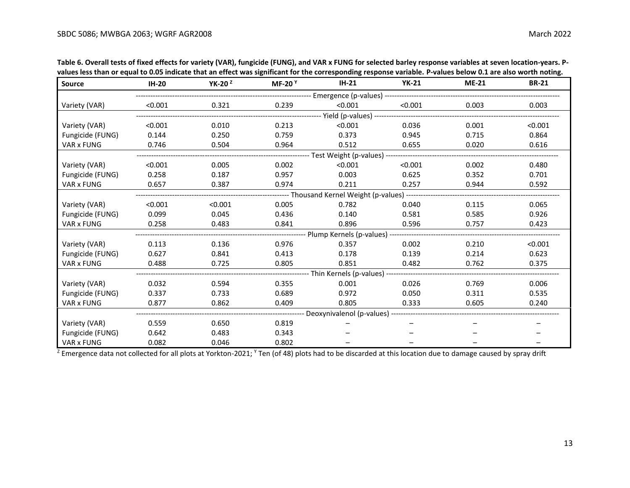| וועס וכא מועדו טו כקעשו ש טוש וועונעת. מועד מורכת אעש אפוווועטודו וטו מוכ נטו כאטוועוופ וכאטואכ אטועטר. ו- אטעכא טכוטא טובער אטרמו ווטמוופ<br><b>Source</b> | <b>IH-20</b> | YK-20 $2$ | MF-20 $Y$                                                            | $IH-21$                                                | <b>YK-21</b>                                                    | <b>ME-21</b> | <b>BR-21</b> |  |
|-------------------------------------------------------------------------------------------------------------------------------------------------------------|--------------|-----------|----------------------------------------------------------------------|--------------------------------------------------------|-----------------------------------------------------------------|--------------|--------------|--|
|                                                                                                                                                             |              |           |                                                                      |                                                        |                                                                 |              |              |  |
| Variety (VAR)                                                                                                                                               | < 0.001      | 0.321     | 0.239                                                                | < 0.001                                                | < 0.001                                                         | 0.003        | 0.003        |  |
|                                                                                                                                                             |              |           |                                                                      |                                                        |                                                                 |              |              |  |
| Variety (VAR)                                                                                                                                               | < 0.001      | 0.010     | 0.213                                                                | < 0.001                                                | 0.036                                                           | 0.001        | < 0.001      |  |
| Fungicide (FUNG)                                                                                                                                            | 0.144        | 0.250     | 0.759                                                                | 0.373                                                  | 0.945                                                           | 0.715        | 0.864        |  |
| VAR x FUNG                                                                                                                                                  | 0.746        | 0.504     | 0.964                                                                | 0.512                                                  | 0.655                                                           | 0.020        | 0.616        |  |
|                                                                                                                                                             |              |           | ---------------------------- Test Weight (p-values) ---------------- |                                                        |                                                                 |              |              |  |
| Variety (VAR)                                                                                                                                               | < 0.001      | 0.005     | 0.002                                                                | < 0.001                                                | < 0.001                                                         | 0.002        | 0.480        |  |
| Fungicide (FUNG)                                                                                                                                            | 0.258        | 0.187     | 0.957                                                                | 0.003                                                  | 0.625                                                           | 0.352        | 0.701        |  |
| VAR x FUNG                                                                                                                                                  | 0.657        | 0.387     | 0.974                                                                | 0.211                                                  | 0.257                                                           | 0.944        | 0.592        |  |
|                                                                                                                                                             |              |           |                                                                      |                                                        | --------- Thousand Kernel Weight (p-values) ------------------- |              |              |  |
| Variety (VAR)                                                                                                                                               | < 0.001      | < 0.001   | 0.005                                                                | 0.782                                                  | 0.040                                                           | 0.115        | 0.065        |  |
| Fungicide (FUNG)                                                                                                                                            | 0.099        | 0.045     | 0.436                                                                | 0.140                                                  | 0.581                                                           | 0.585        | 0.926        |  |
| VAR x FUNG                                                                                                                                                  | 0.258        | 0.483     | 0.841                                                                | 0.896                                                  | 0.596                                                           | 0.757        | 0.423        |  |
|                                                                                                                                                             |              |           |                                                                      |                                                        |                                                                 |              |              |  |
| Variety (VAR)                                                                                                                                               | 0.113        | 0.136     | 0.976                                                                | 0.357                                                  | 0.002                                                           | 0.210        | < 0.001      |  |
| Fungicide (FUNG)                                                                                                                                            | 0.627        | 0.841     | 0.413                                                                | 0.178                                                  | 0.139                                                           | 0.214        | 0.623        |  |
| VAR x FUNG                                                                                                                                                  | 0.488        | 0.725     | 0.805                                                                | 0.851                                                  | 0.482                                                           | 0.762        | 0.375        |  |
|                                                                                                                                                             |              |           |                                                                      | --------------- Thin Kernels (p-values) ------         |                                                                 |              |              |  |
| Variety (VAR)                                                                                                                                               | 0.032        | 0.594     | 0.355                                                                | 0.001                                                  | 0.026                                                           | 0.769        | 0.006        |  |
| Fungicide (FUNG)                                                                                                                                            | 0.337        | 0.733     | 0.689                                                                | 0.972                                                  | 0.050                                                           | 0.311        | 0.535        |  |
| VAR x FUNG                                                                                                                                                  | 0.877        | 0.862     | 0.409                                                                | 0.805                                                  | 0.333                                                           | 0.605        | 0.240        |  |
|                                                                                                                                                             |              |           |                                                                      | ------------ Deoxynivalenol (p-values) --------------- |                                                                 |              |              |  |
| Variety (VAR)                                                                                                                                               | 0.559        | 0.650     | 0.819                                                                |                                                        |                                                                 |              |              |  |
| Fungicide (FUNG)                                                                                                                                            | 0.642        | 0.483     | 0.343                                                                |                                                        |                                                                 |              |              |  |
| VAR x FUNG                                                                                                                                                  | 0.082        | 0.046     | 0.802                                                                |                                                        |                                                                 |              |              |  |

**Table 6. Overall tests of fixed effects for variety (VAR), fungicide (FUNG), and VAR x FUNG for selected barley response variables at seven location-years. Pvalues less than or equal to 0.05 indicate that an effect was significant for the corresponding response variable. P-values below 0.1 are also worth noting.**

 $^7$  Emergence data not collected for all plots at Yorkton-2021; Y Ten (of 48) plots had to be discarded at this location due to damage caused by spray drift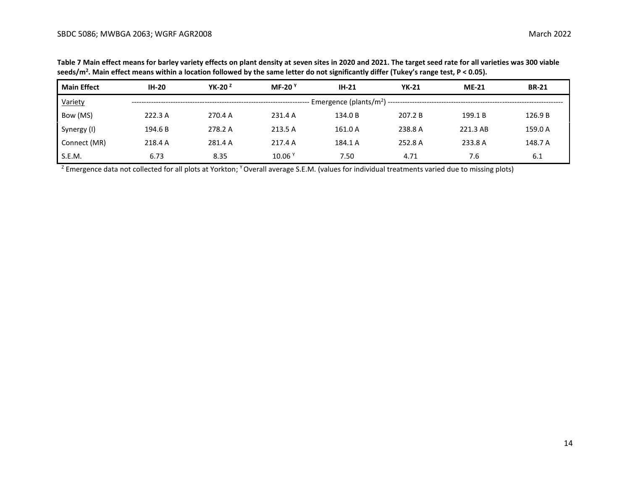**Table 7 Main effect means for barley variety effects on plant density at seven sites in 2020 and 2021. The target seed rate for all varieties was 300 viable seeds/m<sup>2</sup> . Main effect means within a location followed by the same letter do not significantly differ (Tukey's range test, P < 0.05).**

| <b>Main Effect</b> | $IH-20$ | YK-20 $2$ | MF-20 $9$ | $IH-21$ | <b>YK-21</b> | $ME-21$  | <b>BR-21</b> |
|--------------------|---------|-----------|-----------|---------|--------------|----------|--------------|
| Variety            |         |           |           |         |              |          |              |
| Bow (MS)           | 222.3 A | 270.4 A   | 231.4 A   | 134.0 B | 207.2 B      | 199.1 B  | 126.9 B      |
| Synergy (I)        | 194.6 B | 278.2 A   | 213.5 A   | 161.0 A | 238.8 A      | 221.3 AB | 159.0 A      |
| Connect (MR)       | 218.4 A | 281.4 A   | 217.4 A   | 184.1 A | 252.8 A      | 233.8 A  | 148.7 A      |
| S.E.M.             | 6.73    | 8.35      | 10.06     | 7.50    | 4.71         | 7.6      | 6.1          |

<sup>Z</sup> Emergence data not collected for all plots at Yorkton; <sup>Y</sup> Overall average S.E.M. (values for individual treatments varied due to missing plots)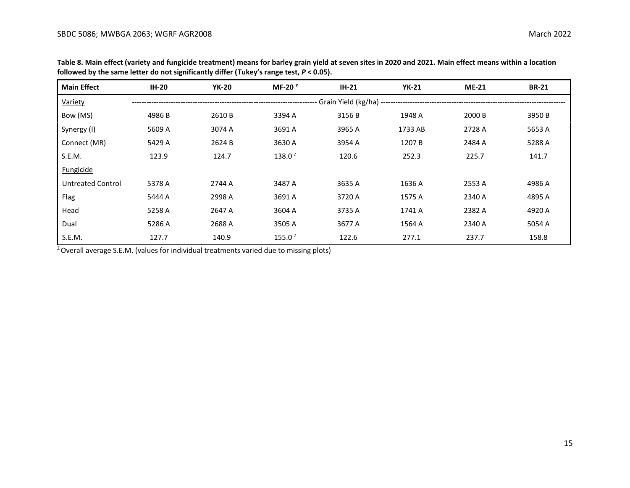| <b>Main Effect</b>       | <b>IH-20</b> | <b>YK-20</b> | MF-20 $Y$    | $IH-21$                                                       | <b>YK-21</b> | <b>ME-21</b> | <b>BR-21</b> |
|--------------------------|--------------|--------------|--------------|---------------------------------------------------------------|--------------|--------------|--------------|
| Variety                  |              |              |              | -------------------- Grain Yield (kg/ha) -------------------- |              |              |              |
| Bow (MS)                 | 4986 B       | 2610 B       | 3394 A       | 3156 B                                                        | 1948 A       | 2000 B       | 3950 B       |
| Synergy (I)              | 5609 A       | 3074 A       | 3691 A       | 3965 A                                                        | 1733 AB      | 2728 A       | 5653 A       |
| Connect (MR)             | 5429 A       | 2624 B       | 3630 A       | 3954 A                                                        | 1207 B       | 2484 A       | 5288 A       |
| S.E.M.                   | 123.9        | 124.7        | 138.0 $^{2}$ | 120.6                                                         | 252.3        | 225.7        | 141.7        |
| Fungicide                |              |              |              |                                                               |              |              |              |
| <b>Untreated Control</b> | 5378 A       | 2744 A       | 3487 A       | 3635 A                                                        | 1636 A       | 2553 A       | 4986 A       |
| Flag                     | 5444 A       | 2998 A       | 3691 A       | 3720 A                                                        | 1575 A       | 2340 A       | 4895 A       |
| Head                     | 5258 A       | 2647 A       | 3604 A       | 3735 A                                                        | 1741 A       | 2382 A       | 4920 A       |
| Dual                     | 5286 A       | 2688 A       | 3505 A       | 3677 A                                                        | 1564 A       | 2340 A       | 5054 A       |
| S.E.M.                   | 127.7        | 140.9        | 155.0 $2$    | 122.6                                                         | 277.1        | 237.7        | 158.8        |

**Table 8. Main effect (variety and fungicide treatment) means for barley grain yield at seven sites in 2020 and 2021. Main effect means within a location followed by the same letter do not significantly differ (Tukey's range test,** *P* **< 0.05).**

 $Z$  Overall average S.E.M. (values for individual treatments varied due to missing plots)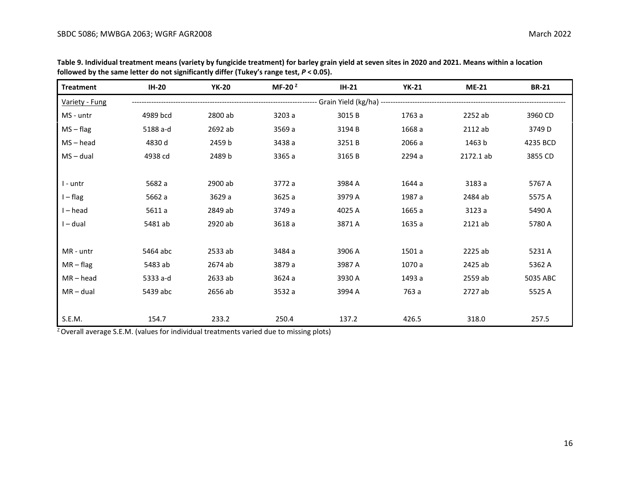| <b>Treatment</b> | <b>IH-20</b> | <b>YK-20</b> | MF-20 $2$ | $IH-21$                                                            | <b>YK-21</b> | <b>ME-21</b> | <b>BR-21</b> |
|------------------|--------------|--------------|-----------|--------------------------------------------------------------------|--------------|--------------|--------------|
| Variety - Fung   |              |              |           | -------------------- Grain Yield (kg/ha) ------------------------- |              |              |              |
| MS - untr        | 4989 bcd     | 2800 ab      | 3203 a    | 3015B                                                              | 1763 a       | 2252 ab      | 3960 CD      |
| $MS - flag$      | 5188 a-d     | 2692 ab      | 3569 a    | 3194 B                                                             | 1668 a       | 2112 ab      | 3749 D       |
| $MS - head$      | 4830 d       | 2459 b       | 3438 a    | 3251B                                                              | 2066 a       | 1463 b       | 4235 BCD     |
| $MS - dual$      | 4938 cd      | 2489 b       | 3365 a    | 3165B                                                              | 2294 a       | 2172.1 ab    | 3855 CD      |
|                  |              |              |           |                                                                    |              |              |              |
| I - untr         | 5682 a       | 2900 ab      | 3772 a    | 3984 A                                                             | 1644 a       | 3183 a       | 5767 A       |
| $I - flag$       | 5662 a       | 3629 a       | 3625 a    | 3979 A                                                             | 1987 a       | 2484 ab      | 5575 A       |
| I-head           | 5611 a       | 2849 ab      | 3749 a    | 4025 A                                                             | 1665 a       | 3123 a       | 5490 A       |
| I – dual         | 5481 ab      | 2920 ab      | 3618 a    | 3871 A                                                             | 1635 a       | 2121 ab      | 5780 A       |
|                  |              |              |           |                                                                    |              |              |              |
| MR - untr        | 5464 abc     | 2533 ab      | 3484 a    | 3906 A                                                             | 1501 a       | 2225 ab      | 5231 A       |
| $MR - flag$      | 5483 ab      | 2674 ab      | 3879 a    | 3987 A                                                             | 1070 a       | 2425 ab      | 5362 A       |
| $MR - head$      | 5333 a-d     | 2633 ab      | 3624 a    | 3930 A                                                             | 1493 a       | 2559 ab      | 5035 ABC     |
| $MR - dual$      | 5439 abc     | 2656 ab      | 3532 a    | 3994 A                                                             | 763 a        | 2727 ab      | 5525 A       |
|                  |              |              |           |                                                                    |              |              |              |
| S.E.M.           | 154.7        | 233.2        | 250.4     | 137.2                                                              | 426.5        | 318.0        | 257.5        |

**Table 9. Individual treatment means (variety by fungicide treatment) for barley grain yield at seven sites in 2020 and 2021. Means within a location followed by the same letter do not significantly differ (Tukey's range test,** *P* **< 0.05).**

 $Z$  Overall average S.E.M. (values for individual treatments varied due to missing plots)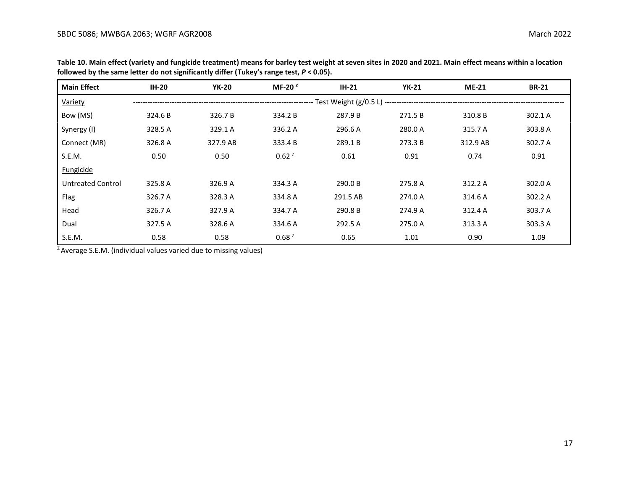| <b>Main Effect</b> | <b>IH-20</b> | <b>YK-20</b> | MF-20 $2$         | $IH-21$  | <b>YK-21</b> | $ME-21$  | <b>BR-21</b> |  |  |
|--------------------|--------------|--------------|-------------------|----------|--------------|----------|--------------|--|--|
| Variety            |              |              |                   |          |              |          |              |  |  |
| Bow (MS)           | 324.6 B      | 326.7 B      | 334.2 B           | 287.9 B  | 271.5 B      | 310.8 B  | 302.1 A      |  |  |
| Synergy (I)        | 328.5 A      | 329.1 A      | 336.2 A           | 296.6 A  | 280.0 A      | 315.7 A  | 303.8 A      |  |  |
| Connect (MR)       | 326.8 A      | 327.9 AB     | 333.4 B           | 289.1B   | 273.3 B      | 312.9 AB | 302.7 A      |  |  |
| S.E.M.             | 0.50         | 0.50         | 0.62 <sup>2</sup> | 0.61     | 0.91         | 0.74     | 0.91         |  |  |
| Fungicide          |              |              |                   |          |              |          |              |  |  |
| Untreated Control  | 325.8 A      | 326.9 A      | 334.3 A           | 290.0 B  | 275.8 A      | 312.2 A  | 302.0 A      |  |  |
| Flag               | 326.7 A      | 328.3 A      | 334.8 A           | 291.5 AB | 274.0 A      | 314.6 A  | 302.2 A      |  |  |
| Head               | 326.7 A      | 327.9 A      | 334.7 A           | 290.8 B  | 274.9 A      | 312.4 A  | 303.7 A      |  |  |
| Dual               | 327.5 A      | 328.6 A      | 334.6 A           | 292.5 A  | 275.0 A      | 313.3 A  | 303.3 A      |  |  |
| S.E.M.             | 0.58         | 0.58         | 0.68 <sup>2</sup> | 0.65     | 1.01         | 0.90     | 1.09         |  |  |

**Table 10. Main effect (variety and fungicide treatment) means for barley test weight at seven sites in 2020 and 2021. Main effect means within a location followed by the same letter do not significantly differ (Tukey's range test,** *P* **< 0.05).**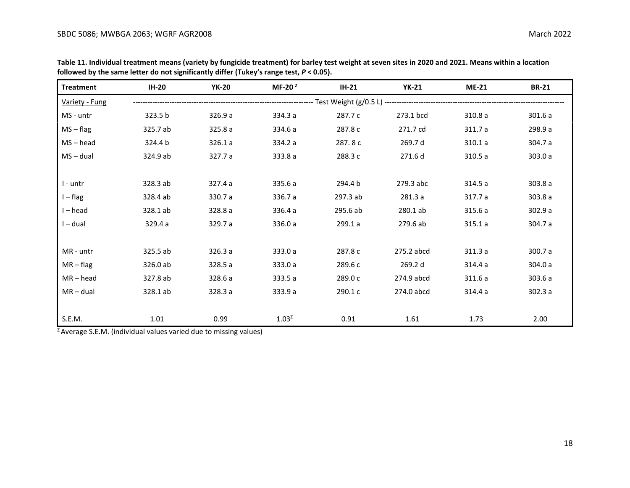| <b>Treatment</b> | <b>IH-20</b> | <b>YK-20</b> | MF-20 $2$ | $IH-21$  | <b>YK-21</b> | <b>ME-21</b> | <b>BR-21</b> |
|------------------|--------------|--------------|-----------|----------|--------------|--------------|--------------|
| Variety - Fung   |              |              |           |          |              |              |              |
| MS - untr        | 323.5 b      | 326.9a       | 334.3 a   | 287.7 c  | 273.1 bcd    | 310.8 a      | 301.6 a      |
| $MS - flag$      | 325.7 ab     | 325.8 a      | 334.6 a   | 287.8 c  | 271.7 cd     | 311.7a       | 298.9 a      |
| $MS - head$      | 324.4 b      | 326.1a       | 334.2 a   | 287.8c   | 269.7 d      | 310.1a       | 304.7 a      |
| $MS - dual$      | 324.9 ab     | 327.7 a      | 333.8 a   | 288.3 c  | 271.6 d      | 310.5a       | 303.0 a      |
|                  |              |              |           |          |              |              |              |
| I - untr         | 328.3 ab     | 327.4 a      | 335.6 a   | 294.4 b  | 279.3 abc    | 314.5 a      | 303.8 a      |
| $I - flag$       | 328.4 ab     | 330.7 a      | 336.7 a   | 297.3 ab | 281.3 a      | 317.7 a      | 303.8a       |
| $I - head$       | 328.1 ab     | 328.8 a      | 336.4 a   | 295.6 ab | 280.1 ab     | 315.6 a      | 302.9 a      |
| I-dual           | 329.4 a      | 329.7 a      | 336.0 a   | 299.1 a  | 279.6 ab     | 315.1a       | 304.7 a      |
|                  |              |              |           |          |              |              |              |
| MR - untr        | 325.5 ab     | 326.3a       | 333.0 a   | 287.8 c  | 275.2 abcd   | 311.3a       | 300.7 a      |
| $MR - flag$      | 326.0 ab     | 328.5 a      | 333.0 a   | 289.6 с  | 269.2 d      | 314.4 a      | 304.0 a      |
| $MR - head$      | 327.8 ab     | 328.6 a      | 333.5 a   | 289.0 c  | 274.9 abcd   | 311.6a       | 303.6 a      |
| $MR - dual$      | 328.1 ab     | 328.3 a      | 333.9 a   | 290.1 c  | 274.0 abcd   | 314.4 a      | 302.3a       |
|                  |              |              |           |          |              |              |              |
| S.E.M.           | 1.01         | 0.99         | $1.03^2$  | 0.91     | 1.61         | 1.73         | 2.00         |

**Table 11. Individual treatment means (variety by fungicide treatment) for barley test weight at seven sites in 2020 and 2021. Means within a location followed by the same letter do not significantly differ (Tukey's range test,** *P* **< 0.05).**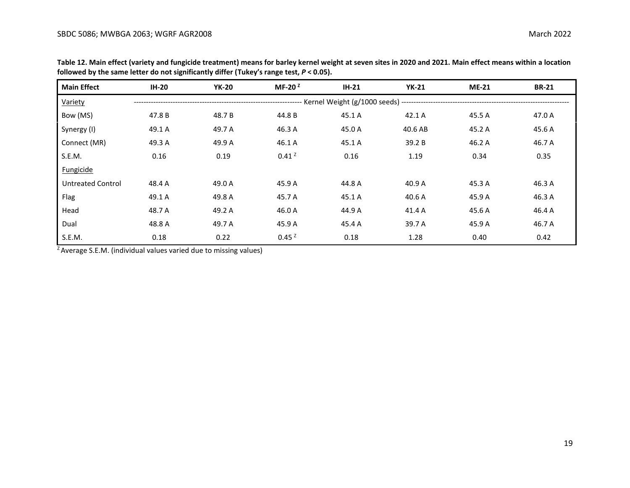| <b>Main Effect</b>       | $IH-20$ | <b>YK-20</b> | MF-20 $2$                                                                              | $IH-21$ | <b>YK-21</b> | $ME-21$ | <b>BR-21</b> |
|--------------------------|---------|--------------|----------------------------------------------------------------------------------------|---------|--------------|---------|--------------|
| Variety                  |         |              | --------------------- Kernel Weight (g/1000 seeds) ----------------------------------- |         |              |         |              |
| Bow (MS)                 | 47.8 B  | 48.7 B       | 44.8 B                                                                                 | 45.1 A  | 42.1 A       | 45.5 A  | 47.0 A       |
| Synergy (I)              | 49.1 A  | 49.7 A       | 46.3 A                                                                                 | 45.0 A  | 40.6 AB      | 45.2 A  | 45.6 A       |
| Connect (MR)             | 49.3 A  | 49.9 A       | 46.1 A                                                                                 | 45.1 A  | 39.2 B       | 46.2 A  | 46.7 A       |
| S.E.M.                   | 0.16    | 0.19         | 0.41 <sup>2</sup>                                                                      | 0.16    | 1.19         | 0.34    | 0.35         |
| Fungicide                |         |              |                                                                                        |         |              |         |              |
| <b>Untreated Control</b> | 48.4 A  | 49.0 A       | 45.9 A                                                                                 | 44.8 A  | 40.9 A       | 45.3 A  | 46.3 A       |
| Flag                     | 49.1 A  | 49.8 A       | 45.7 A                                                                                 | 45.1 A  | 40.6 A       | 45.9 A  | 46.3 A       |
| Head                     | 48.7 A  | 49.2 A       | 46.0 A                                                                                 | 44.9 A  | 41.4 A       | 45.6 A  | 46.4 A       |
| Dual                     | 48.8 A  | 49.7 A       | 45.9 A                                                                                 | 45.4 A  | 39.7 A       | 45.9 A  | 46.7 A       |
| S.E.M.                   | 0.18    | 0.22         | 0.45 <sup>2</sup>                                                                      | 0.18    | 1.28         | 0.40    | 0.42         |

**Table 12. Main effect (variety and fungicide treatment) means for barley kernel weight at seven sites in 2020 and 2021. Main effect means within a location followed by the same letter do not significantly differ (Tukey's range test,** *P* **< 0.05).**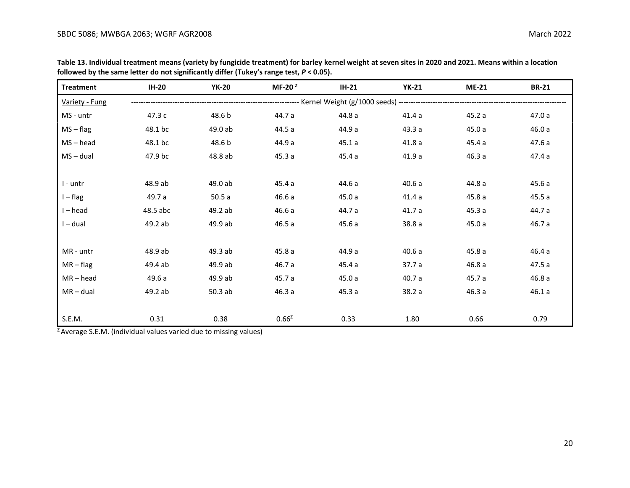| <b>Treatment</b> | <b>IH-20</b> | <b>YK-20</b> | MF-20 $2$ | $IH-21$                                 | <b>YK-21</b> | <b>ME-21</b> | <b>BR-21</b> |
|------------------|--------------|--------------|-----------|-----------------------------------------|--------------|--------------|--------------|
| Variety - Fung   |              |              |           | ---------- Kernel Weight (g/1000 seeds) |              |              |              |
| MS - untr        | 47.3 c       | 48.6 b       | 44.7 a    | 44.8 a                                  | 41.4a        | 45.2a        | 47.0 a       |
| $MS - flag$      | 48.1 bc      | 49.0 ab      | 44.5 a    | 44.9 a                                  | 43.3 a       | 45.0a        | 46.0a        |
| $MS - head$      | 48.1 bc      | 48.6 b       | 44.9 a    | 45.1a                                   | 41.8a        | 45.4 a       | 47.6 a       |
| $MS - dual$      | 47.9 bc      | 48.8 ab      | 45.3a     | 45.4 a                                  | 41.9a        | 46.3a        | 47.4 a       |
|                  |              |              |           |                                         |              |              |              |
| $l$ - untr       | 48.9 ab      | 49.0 ab      | 45.4 a    | 44.6 a                                  | 40.6a        | 44.8 a       | 45.6 a       |
| $I - flag$       | 49.7 a       | 50.5a        | 46.6a     | 45.0a                                   | 41.4a        | 45.8a        | 45.5a        |
| $I - head$       | 48.5 abc     | 49.2 ab      | 46.6a     | 44.7 a                                  | 41.7a        | 45.3a        | 44.7 a       |
| $I - dual$       | 49.2 ab      | 49.9 ab      | 46.5a     | 45.6a                                   | 38.8 a       | 45.0a        | 46.7 a       |
|                  |              |              |           |                                         |              |              |              |
| MR - untr        | 48.9 ab      | 49.3 ab      | 45.8a     | 44.9 a                                  | 40.6a        | 45.8a        | 46.4 a       |
| $MR - flag$      | 49.4 ab      | 49.9 ab      | 46.7 a    | 45.4 a                                  | 37.7 a       | 46.8a        | 47.5 a       |
| $MR - head$      | 49.6 a       | 49.9 ab      | 45.7 a    | 45.0 a                                  | 40.7 a       | 45.7 a       | 46.8 a       |
| $MR - dual$      | 49.2 ab      | 50.3 ab      | 46.3 a    | 45.3 a                                  | 38.2 a       | 46.3a        | 46.1a        |
|                  |              |              |           |                                         |              |              |              |
| S.E.M.           | 0.31         | 0.38         | $0.66^2$  | 0.33                                    | 1.80         | 0.66         | 0.79         |

**Table 13. Individual treatment means (variety by fungicide treatment) for barley kernel weight at seven sites in 2020 and 2021. Means within a location followed by the same letter do not significantly differ (Tukey's range test,** *P* **< 0.05).**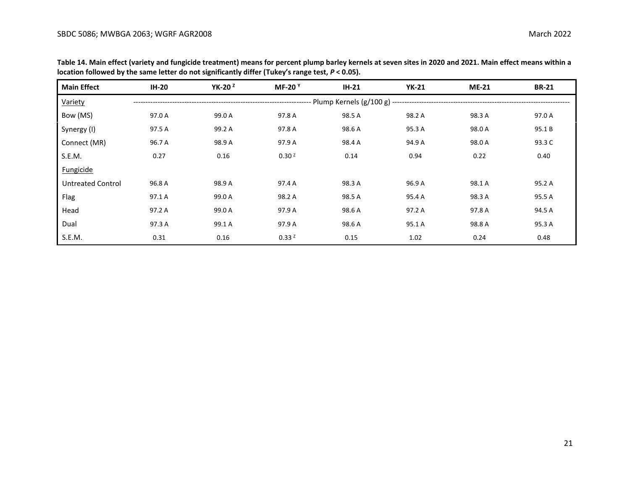| <b>Main Effect</b>       | <b>IH-20</b> | YK-20 <sup>2</sup> | MF-20 $Y$         | $IH-21$                                        | <b>YK-21</b> | <b>ME-21</b> | <b>BR-21</b> |
|--------------------------|--------------|--------------------|-------------------|------------------------------------------------|--------------|--------------|--------------|
| Variety                  |              |                    |                   | - Plump Kernels (g/100 g) -------------------- |              |              |              |
| Bow (MS)                 | 97.0 A       | 99.0 A             | 97.8 A            | 98.5 A                                         | 98.2 A       | 98.3 A       | 97.0 A       |
| Synergy (I)              | 97.5 A       | 99.2 A             | 97.8 A            | 98.6 A                                         | 95.3 A       | 98.0 A       | 95.1B        |
| Connect (MR)             | 96.7 A       | 98.9 A             | 97.9 A            | 98.4 A                                         | 94.9 A       | 98.0 A       | 93.3 C       |
| S.E.M.                   | 0.27         | 0.16               | 0.30 <sup>2</sup> | 0.14                                           | 0.94         | 0.22         | 0.40         |
| Fungicide                |              |                    |                   |                                                |              |              |              |
| <b>Untreated Control</b> | 96.8 A       | 98.9 A             | 97.4 A            | 98.3 A                                         | 96.9 A       | 98.1 A       | 95.2 A       |
| Flag                     | 97.1 A       | 99.0 A             | 98.2 A            | 98.5 A                                         | 95.4 A       | 98.3 A       | 95.5 A       |
| Head                     | 97.2 A       | 99.0 A             | 97.9 A            | 98.6 A                                         | 97.2 A       | 97.8 A       | 94.5 A       |
| Dual                     | 97.3 A       | 99.1 A             | 97.9 A            | 98.6 A                                         | 95.1 A       | 98.8 A       | 95.3 A       |
| S.E.M.                   | 0.31         | 0.16               | 0.33 <sup>2</sup> | 0.15                                           | 1.02         | 0.24         | 0.48         |

**Table 14. Main effect (variety and fungicide treatment) means for percent plump barley kernels at seven sites in 2020 and 2021. Main effect means within a location followed by the same letter do not significantly differ (Tukey's range test,** *P* **< 0.05).**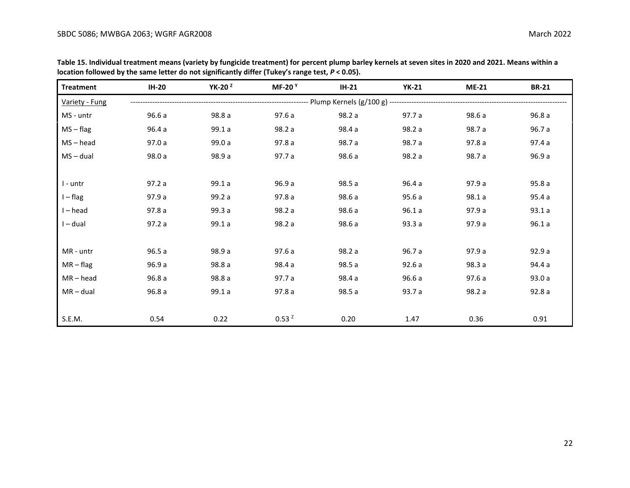| <b>Treatment</b> | <b>IH-20</b> | YK-20 $Z$ | MF-20 $Y$         | $IH-21$ | <b>YK-21</b> | $ME-21$ | <b>BR-21</b> |
|------------------|--------------|-----------|-------------------|---------|--------------|---------|--------------|
| Variety - Fung   |              |           |                   |         |              |         |              |
| MS - untr        | 96.6 a       | 98.8 a    | 97.6 a            | 98.2 a  | 97.7 a       | 98.6 a  | 96.8 a       |
| $MS - flag$      | 96.4 a       | 99.1 a    | 98.2 a            | 98.4 a  | 98.2 a       | 98.7 a  | 96.7 a       |
| $MS - head$      | 97.0 a       | 99.0 a    | 97.8 a            | 98.7 a  | 98.7 a       | 97.8a   | 97.4 a       |
| $MS - dual$      | 98.0 a       | 98.9 a    | 97.7 a            | 98.6 a  | 98.2 a       | 98.7 a  | 96.9 a       |
|                  |              |           |                   |         |              |         |              |
| I - untr         | 97.2a        | 99.1 a    | 96.9 a            | 98.5 a  | 96.4a        | 97.9 a  | 95.8a        |
| $I - flag$       | 97.9 a       | 99.2 a    | 97.8a             | 98.6 a  | 95.6a        | 98.1a   | 95.4a        |
| $I - head$       | 97.8a        | 99.3 a    | 98.2 a            | 98.6 a  | 96.1a        | 97.9 a  | 93.1a        |
| $I - dual$       | 97.2a        | 99.1a     | 98.2 a            | 98.6 a  | 93.3a        | 97.9a   | 96.1a        |
|                  |              |           |                   |         |              |         |              |
| MR - untr        | 96.5a        | 98.9 a    | 97.6a             | 98.2 a  | 96.7 a       | 97.9 a  | 92.9a        |
| $MR - flag$      | 96.9 a       | 98.8 a    | 98.4 a            | 98.5 a  | 92.6a        | 98.3 a  | 94.4 a       |
| $MR - head$      | 96.8a        | 98.8 a    | 97.7 a            | 98.4 a  | 96.6a        | 97.6a   | 93.0a        |
| $MR - dual$      | 96.8a        | 99.1a     | 97.8a             | 98.5 a  | 93.7 a       | 98.2 a  | 92.8a        |
|                  |              |           |                   |         |              |         |              |
| S.E.M.           | 0.54         | 0.22      | 0.53 <sup>z</sup> | 0.20    | 1.47         | 0.36    | 0.91         |

**Table 15. Individual treatment means (variety by fungicide treatment) for percent plump barley kernels at seven sites in 2020 and 2021. Means within a location followed by the same letter do not significantly differ (Tukey's range test,** *P* **< 0.05).**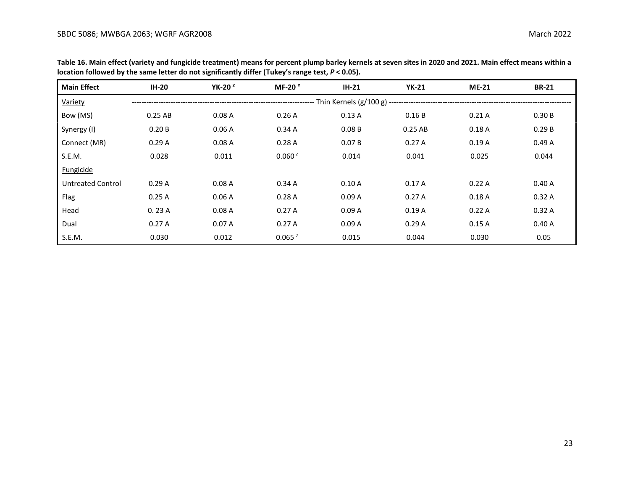| <b>Main Effect</b>       | <b>IH-20</b> | YK-20 $2$ | MF-20 $Y$          | $IH-21$ | <b>YK-21</b>                                    | <b>ME-21</b> | <b>BR-21</b> |
|--------------------------|--------------|-----------|--------------------|---------|-------------------------------------------------|--------------|--------------|
| Variety                  |              |           |                    |         | Thin Kernels (g/100 g) ------------------------ |              |              |
| Bow (MS)                 | $0.25$ AB    | 0.08A     | 0.26A              | 0.13A   | 0.16B                                           | 0.21A        | 0.30B        |
| Synergy (I)              | 0.20B        | 0.06A     | 0.34A              | 0.08B   | $0.25$ AB                                       | 0.18A        | 0.29B        |
| Connect (MR)             | 0.29A        | 0.08A     | 0.28A              | 0.07B   | 0.27A                                           | 0.19A        | 0.49A        |
| S.E.M.                   | 0.028        | 0.011     | 0.060 <sup>2</sup> | 0.014   | 0.041                                           | 0.025        | 0.044        |
| Fungicide                |              |           |                    |         |                                                 |              |              |
| <b>Untreated Control</b> | 0.29A        | 0.08A     | 0.34A              | 0.10A   | 0.17A                                           | 0.22A        | 0.40A        |
| Flag                     | 0.25A        | 0.06A     | 0.28A              | 0.09A   | 0.27A                                           | 0.18A        | 0.32A        |
| Head                     | 0.23A        | 0.08A     | 0.27A              | 0.09A   | 0.19A                                           | 0.22A        | 0.32A        |
| Dual                     | 0.27A        | 0.07A     | 0.27A              | 0.09A   | 0.29A                                           | 0.15A        | 0.40A        |
| S.E.M.                   | 0.030        | 0.012     | 0.065 <sup>2</sup> | 0.015   | 0.044                                           | 0.030        | 0.05         |

**Table 16. Main effect (variety and fungicide treatment) means for percent plump barley kernels at seven sites in 2020 and 2021. Main effect means within a location followed by the same letter do not significantly differ (Tukey's range test,** *P* **< 0.05).**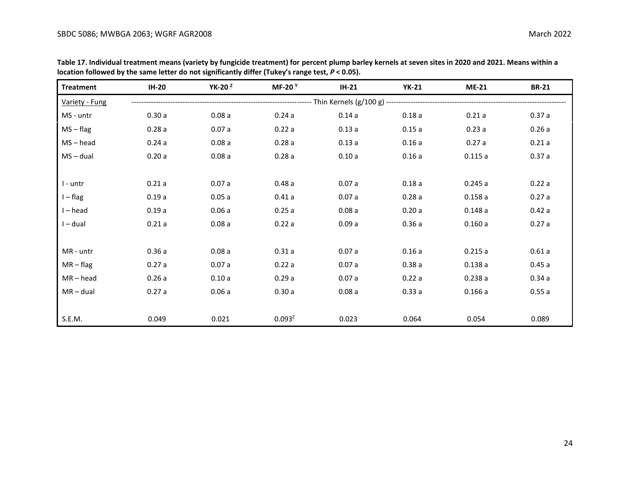| <b>Treatment</b> | $IH-20$ | YK-20 $2$ | MF-20 $Y$   | $IH-21$ | <b>YK-21</b> | <b>ME-21</b> | <b>BR-21</b> |
|------------------|---------|-----------|-------------|---------|--------------|--------------|--------------|
| Variety - Fung   |         |           |             |         |              |              |              |
| MS - untr        | 0.30a   | 0.08a     | 0.24a       | 0.14a   | 0.18a        | 0.21a        | 0.37a        |
| $MS - flag$      | 0.28a   | 0.07a     | 0.22a       | 0.13a   | 0.15a        | 0.23a        | 0.26a        |
| $MS - head$      | 0.24a   | 0.08a     | 0.28a       | 0.13a   | 0.16a        | 0.27a        | 0.21a        |
| $MS - dual$      | 0.20a   | 0.08a     | 0.28a       | 0.10a   | 0.16a        | 0.115a       | 0.37a        |
|                  |         |           |             |         |              |              |              |
| I - untr         | 0.21a   | 0.07a     | 0.48a       | 0.07a   | 0.18a        | 0.245a       | 0.22a        |
| $I - flag$       | 0.19a   | 0.05a     | 0.41a       | 0.07a   | 0.28a        | 0.158a       | 0.27a        |
| $I - head$       | 0.19a   | 0.06a     | 0.25a       | 0.08a   | 0.20a        | 0.148a       | 0.42a        |
| $I - dual$       | 0.21a   | 0.08a     | 0.22a       | 0.09a   | 0.36a        | 0.160a       | 0.27a        |
|                  |         |           |             |         |              |              |              |
| MR - untr        | 0.36a   | 0.08a     | 0.31a       | 0.07a   | 0.16a        | 0.215a       | 0.61a        |
| $MR - flag$      | 0.27a   | 0.07a     | 0.22a       | 0.07a   | 0.38a        | 0.138a       | 0.45a        |
| $MR - head$      | 0.26a   | 0.10a     | 0.29a       | 0.07a   | 0.22a        | 0.238a       | 0.34a        |
| $MR - dual$      | 0.27a   | 0.06a     | 0.30a       | 0.08a   | 0.33a        | 0.166a       | 0.55a        |
|                  |         |           |             |         |              |              |              |
| S.E.M.           | 0.049   | 0.021     | $0.093^{2}$ | 0.023   | 0.064        | 0.054        | 0.089        |

**Table 17. Individual treatment means (variety by fungicide treatment) for percent plump barley kernels at seven sites in 2020 and 2021. Means within a location followed by the same letter do not significantly differ (Tukey's range test,** *P* **< 0.05).**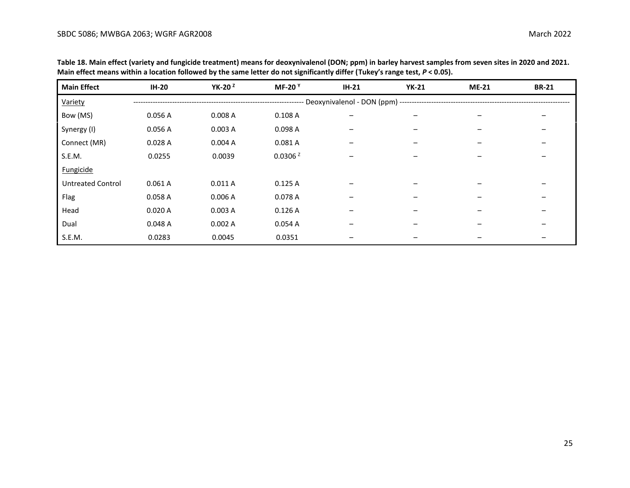| <b>Main Effect</b>       | <b>IH-20</b> | YK-20 $2$ | <b>MF-20</b> Y      | $IH-21$                                       | <b>YK-21</b> | <b>ME-21</b> | <b>BR-21</b> |
|--------------------------|--------------|-----------|---------------------|-----------------------------------------------|--------------|--------------|--------------|
| Variety                  |              |           |                     | Deoxynivalenol - DON (ppm) ------------------ |              |              |              |
| Bow (MS)                 | 0.056 A      | 0.008A    | 0.108A              | $\qquad \qquad -$                             |              |              |              |
| Synergy (I)              | 0.056 A      | 0.003A    | 0.098 A             | -                                             |              |              |              |
| Connect (MR)             | 0.028A       | 0.004A    | 0.081A              | -                                             |              |              |              |
| S.E.M.                   | 0.0255       | 0.0039    | 0.0306 <sup>2</sup> | $\overline{\phantom{m}}$                      |              |              |              |
| <b>Fungicide</b>         |              |           |                     |                                               |              |              |              |
| <b>Untreated Control</b> | 0.061A       | 0.011A    | 0.125A              |                                               |              |              |              |
| Flag                     | 0.058 A      | 0.006A    | 0.078 A             |                                               |              |              |              |
| Head                     | 0.020A       | 0.003A    | 0.126A              |                                               |              |              |              |
| Dual                     | 0.048A       | 0.002A    | 0.054A              | $\overline{\phantom{m}}$                      |              |              |              |
| S.E.M.                   | 0.0283       | 0.0045    | 0.0351              |                                               |              |              |              |

**Table 18. Main effect (variety and fungicide treatment) means for deoxynivalenol (DON; ppm) in barley harvest samples from seven sites in 2020 and 2021. Main effect means within a location followed by the same letter do not significantly differ (Tukey's range test,** *P* **< 0.05).**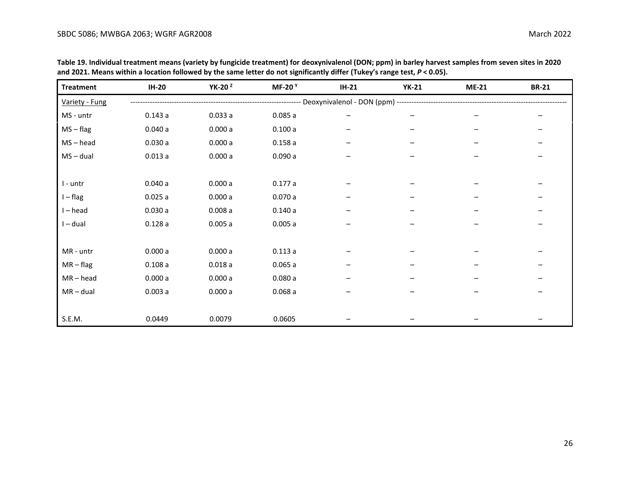| <b>Treatment</b> | <b>IH-20</b> | YK-20 <sup>2</sup> | <b>MF-20</b> <sup>Y</sup> | $IH-21$ | <b>YK-21</b>                                                                  | <b>ME-21</b> | <b>BR-21</b> |
|------------------|--------------|--------------------|---------------------------|---------|-------------------------------------------------------------------------------|--------------|--------------|
| Variety - Fung   |              |                    |                           |         | ------------------------- Deoxynivalenol - DON (ppm) ------------------------ |              |              |
| MS - untr        | 0.143a       | 0.033a             | 0.085a                    |         |                                                                               |              |              |
| $MS - flag$      | 0.040a       | 0.000a             | 0.100a                    |         |                                                                               |              |              |
| $MS - head$      | 0.030a       | 0.000a             | 0.158a                    |         |                                                                               |              |              |
| $MS - dual$      | 0.013a       | 0.000a             | 0.090a                    |         |                                                                               |              |              |
|                  |              |                    |                           |         |                                                                               |              |              |
| I - untr         | 0.040a       | 0.000a             | 0.177a                    |         |                                                                               |              |              |
| $I - flag$       | 0.025a       | 0.000a             | 0.070a                    |         |                                                                               |              |              |
| $I - head$       | 0.030a       | 0.008a             | 0.140a                    |         |                                                                               |              |              |
| $I - dual$       | 0.128a       | 0.005a             | 0.005a                    |         |                                                                               |              |              |
|                  |              |                    |                           |         |                                                                               |              |              |
| MR - untr        | 0.000a       | 0.000a             | 0.113a                    |         |                                                                               |              |              |
| $MR - flag$      | 0.108a       | 0.018a             | 0.065a                    |         |                                                                               |              |              |
| $MR - head$      | 0.000a       | 0.000a             | 0.080a                    |         |                                                                               |              |              |
| $MR - dual$      | 0.003a       | 0.000a             | 0.068a                    | -       | $\qquad \qquad \blacksquare$                                                  |              |              |
|                  |              |                    |                           |         |                                                                               |              |              |
| S.E.M.           | 0.0449       | 0.0079             | 0.0605                    |         |                                                                               |              |              |

**Table 19. Individual treatment means (variety by fungicide treatment) for deoxynivalenol (DON; ppm) in barley harvest samples from seven sites in 2020 and 2021. Means within a location followed by the same letter do not significantly differ (Tukey's range test,** *P* **< 0.05).**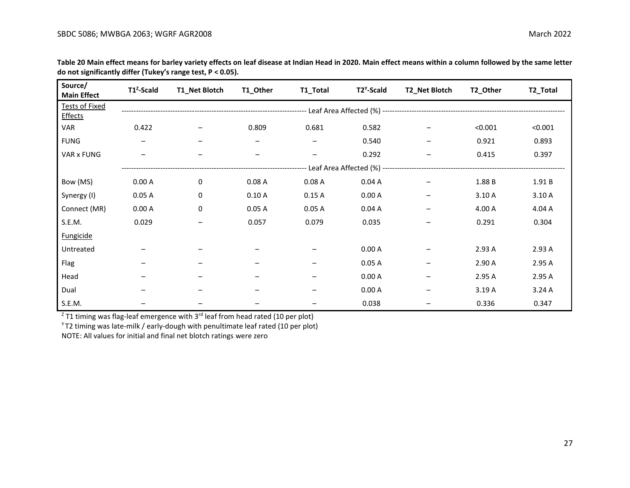| Source/<br><b>Main Effect</b>           | T1 <sup>2</sup> -Scald | T1_Net Blotch | T1_Other | T1_Total | T2 <sup>Y</sup> -Scald | T2_Net Blotch | T2_Other | T2_Total |
|-----------------------------------------|------------------------|---------------|----------|----------|------------------------|---------------|----------|----------|
| <b>Tests of Fixed</b><br><b>Effects</b> |                        |               |          |          |                        |               |          |          |
| <b>VAR</b>                              | 0.422                  |               | 0.809    | 0.681    | 0.582                  |               | < 0.001  | < 0.001  |
| <b>FUNG</b>                             |                        |               |          |          | 0.540                  |               | 0.921    | 0.893    |
| VAR x FUNG                              |                        |               | -        | -        | 0.292                  | —             | 0.415    | 0.397    |
|                                         |                        |               |          |          |                        |               |          |          |
| Bow (MS)                                | 0.00A                  | 0             | 0.08A    | 0.08A    | 0.04A                  |               | 1.88 B   | 1.91B    |
| Synergy (I)                             | 0.05A                  | 0             | 0.10A    | 0.15A    | 0.00A                  |               | 3.10 A   | 3.10A    |
| Connect (MR)                            | 0.00A                  | 0             | 0.05A    | 0.05A    | 0.04A                  | -             | 4.00 A   | 4.04 A   |
| S.E.M.                                  | 0.029                  |               | 0.057    | 0.079    | 0.035                  |               | 0.291    | 0.304    |
| <b>Fungicide</b>                        |                        |               |          |          |                        |               |          |          |
| Untreated                               |                        |               |          |          | 0.00A                  |               | 2.93 A   | 2.93 A   |
| Flag                                    |                        |               |          |          | 0.05A                  |               | 2.90 A   | 2.95 A   |
| Head                                    |                        |               |          |          | 0.00A                  |               | 2.95 A   | 2.95A    |
| Dual                                    |                        |               |          |          | 0.00A                  |               | 3.19 A   | 3.24A    |
| S.E.M.                                  |                        |               |          |          | 0.038                  |               | 0.336    | 0.347    |

**Table 20 Main effect means for barley variety effects on leaf disease at Indian Head in 2020. Main effect means within a column followed by the same letter do not significantly differ (Tukey's range test, P < 0.05).**

 $Z$  T1 timing was flag-leaf emergence with 3<sup>rd</sup> leaf from head rated (10 per plot)

 $Y$ T2 timing was late-milk / early-dough with penultimate leaf rated (10 per plot)

NOTE: All values for initial and final net blotch ratings were zero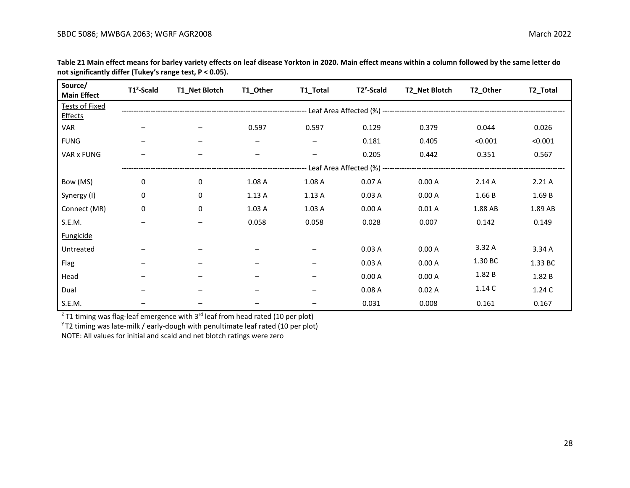| Source/<br><b>Main Effect</b>           | T1 <sup>2</sup> -Scald | T1_Net Blotch | T1_Other | T1_Total                 | T2 <sup>Y</sup> -Scald | T2_Net Blotch | T2_Other | T2_Total |
|-----------------------------------------|------------------------|---------------|----------|--------------------------|------------------------|---------------|----------|----------|
| <b>Tests of Fixed</b><br><b>Effects</b> |                        |               |          |                          |                        |               |          |          |
| <b>VAR</b>                              | —                      |               | 0.597    | 0.597                    | 0.129                  | 0.379         | 0.044    | 0.026    |
| <b>FUNG</b>                             |                        |               |          |                          | 0.181                  | 0.405         | < 0.001  | < 0.001  |
| VAR x FUNG                              |                        |               | —        | $\overline{\phantom{m}}$ | 0.205                  | 0.442         | 0.351    | 0.567    |
|                                         |                        |               |          |                          |                        |               |          |          |
| Bow (MS)                                | 0                      | 0             | 1.08 A   | 1.08 A                   | 0.07A                  | 0.00A         | 2.14A    | 2.21A    |
| Synergy (I)                             | 0                      | 0             | 1.13A    | 1.13A                    | 0.03A                  | 0.00A         | 1.66 B   | 1.69 B   |
| Connect (MR)                            | 0                      | 0             | 1.03A    | 1.03A                    | 0.00A                  | 0.01A         | 1.88 AB  | 1.89 AB  |
| S.E.M.                                  |                        |               | 0.058    | 0.058                    | 0.028                  | 0.007         | 0.142    | 0.149    |
| <b>Fungicide</b>                        |                        |               |          |                          |                        |               |          |          |
| Untreated                               |                        |               |          |                          | 0.03A                  | 0.00A         | 3.32 A   | 3.34 A   |
| Flag                                    |                        |               |          | -                        | 0.03A                  | 0.00A         | 1.30 BC  | 1.33 BC  |
| Head                                    |                        |               |          |                          | 0.00A                  | 0.00A         | 1.82 B   | 1.82 B   |
| Dual                                    |                        |               |          |                          | 0.08A                  | 0.02A         | 1.14C    | 1.24C    |
| S.E.M.                                  |                        |               |          |                          | 0.031                  | 0.008         | 0.161    | 0.167    |

**Table 21 Main effect means for barley variety effects on leaf disease Yorkton in 2020. Main effect means within a column followed by the same letter do not significantly differ (Tukey's range test, P < 0.05).**

 $Z$  T1 timing was flag-leaf emergence with 3<sup>rd</sup> leaf from head rated (10 per plot)

 $Y$ T2 timing was late-milk / early-dough with penultimate leaf rated (10 per plot)

NOTE: All values for initial and scald and net blotch ratings were zero